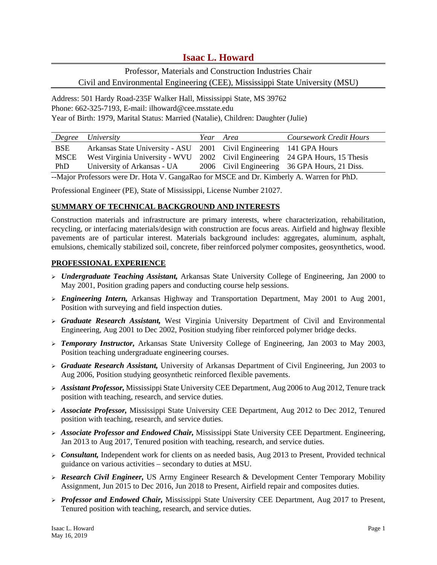# **Isaac L. Howard**

## Professor, Materials and Construction Industries Chair

Civil and Environmental Engineering (CEE), Mississippi State University (MSU)

Address: 501 Hardy Road-235F Walker Hall, Mississippi State, MS 39762 Phone: 662-325-7193, E-mail: ilhoward@cee.msstate.edu Year of Birth: 1979, Marital Status: Married (Natalie), Children: Daughter (Julie)

|             | Degree University                                                             | Year | Area | Coursework Credit Hours                       |
|-------------|-------------------------------------------------------------------------------|------|------|-----------------------------------------------|
| <b>BSE</b>  | Arkansas State University - ASU 2001 Civil Engineering 141 GPA Hours          |      |      |                                               |
| <b>MSCE</b> | West Virginia University - WVU 2002 Civil Engineering 24 GPA Hours, 15 Thesis |      |      |                                               |
| PhD         | University of Arkansas - UA                                                   |      |      | 2006 Civil Engineering 36 GPA Hours, 21 Diss. |

--Major Professors were Dr. Hota V. GangaRao for MSCE and Dr. Kimberly A. Warren for PhD.

Professional Engineer (PE), State of Mississippi, License Number 21027.

### **SUMMARY OF TECHNICAL BACKGROUND AND INTERESTS**

Construction materials and infrastructure are primary interests, where characterization, rehabilitation, recycling, or interfacing materials/design with construction are focus areas. Airfield and highway flexible pavements are of particular interest. Materials background includes: aggregates, aluminum, asphalt, emulsions, chemically stabilized soil, concrete, fiber reinforced polymer composites, geosynthetics, wood.

### **PROFESSIONAL EXPERIENCE**

- *Undergraduate Teaching Assistant,* Arkansas State University College of Engineering, Jan 2000 to May 2001, Position grading papers and conducting course help sessions.
- *Engineering Intern,* Arkansas Highway and Transportation Department, May 2001 to Aug 2001, Position with surveying and field inspection duties.
- *Graduate Research Assistant,* West Virginia University Department of Civil and Environmental Engineering, Aug 2001 to Dec 2002, Position studying fiber reinforced polymer bridge decks.
- *Temporary Instructor,* Arkansas State University College of Engineering, Jan 2003 to May 2003, Position teaching undergraduate engineering courses.
- *Graduate Research Assistant,* University of Arkansas Department of Civil Engineering, Jun 2003 to Aug 2006, Position studying geosynthetic reinforced flexible pavements.
- *Assistant Professor,* Mississippi State University CEE Department, Aug 2006 to Aug 2012, Tenure track position with teaching, research, and service duties.
- *Associate Professor,* Mississippi State University CEE Department, Aug 2012 to Dec 2012, Tenured position with teaching, research, and service duties.
- *Associate Professor and Endowed Chair,* Mississippi State University CEE Department. Engineering, Jan 2013 to Aug 2017, Tenured position with teaching, research, and service duties.
- *Consultant,* Independent work for clients on as needed basis, Aug 2013 to Present, Provided technical guidance on various activities – secondary to duties at MSU.
- *Research Civil Engineer,* US Army Engineer Research & Development Center Temporary Mobility Assignment, Jun 2015 to Dec 2016, Jun 2018 to Present, Airfield repair and composites duties.
- *Professor and Endowed Chair,* Mississippi State University CEE Department, Aug 2017 to Present, Tenured position with teaching, research, and service duties.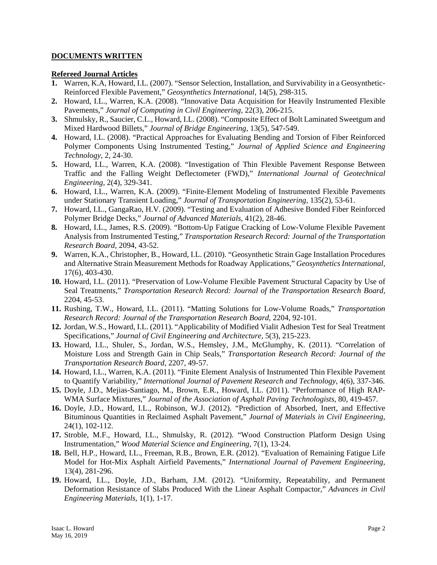### **DOCUMENTS WRITTEN**

#### **Refereed Journal Articles**

- **1.** Warren, K.A, Howard, I.L. (2007). "Sensor Selection, Installation, and Survivability in a Geosynthetic-Reinforced Flexible Pavement," *Geosynthetics International,* 14(5), 298-315.
- **2.** Howard, I.L., Warren, K.A. (2008). "Innovative Data Acquisition for Heavily Instrumented Flexible Pavements," *Journal of Computing in Civil Engineering,* 22(3), 206-215.
- **3.** Shmulsky, R., Saucier, C.L., Howard, I.L. (2008). "Composite Effect of Bolt Laminated Sweetgum and Mixed Hardwood Billets," *Journal of Bridge Engineering,* 13(5), 547-549.
- **4.** Howard, I.L. (2008). "Practical Approaches for Evaluating Bending and Torsion of Fiber Reinforced Polymer Components Using Instrumented Testing," *Journal of Applied Science and Engineering Technology*, 2, 24-30.
- **5.** Howard, I.L., Warren, K.A. (2008). "Investigation of Thin Flexible Pavement Response Between Traffic and the Falling Weight Deflectometer (FWD)," *International Journal of Geotechnical Engineering,* 2(4), 329-341.
- **6.** Howard, I.L., Warren, K.A. (2009). "Finite-Element Modeling of Instrumented Flexible Pavements under Stationary Transient Loading," *Journal of Transportation Engineering,* 135(2), 53-61.
- **7.** Howard, I.L., GangaRao, H.V. (2009). "Testing and Evaluation of Adhesive Bonded Fiber Reinforced Polymer Bridge Decks," *Journal of Advanced Materials,* 41(2), 28-46.
- **8.** Howard, I.L., James, R.S. (2009). "Bottom-Up Fatigue Cracking of Low-Volume Flexible Pavement Analysis from Instrumented Testing," *Transportation Research Record: Journal of the Transportation Research Board,* 2094, 43-52.
- **9.** Warren, K.A., Christopher, B., Howard, I.L. (2010). "Geosynthetic Strain Gage Installation Procedures and Alternative Strain Measurement Methods for Roadway Applications," *Geosynthetics International,*  17(6), 403-430.
- **10.** Howard, I.L. (2011). "Preservation of Low-Volume Flexible Pavement Structural Capacity by Use of Seal Treatments," *Transportation Research Record: Journal of the Transportation Research Board,*  2204, 45-53.
- **11.** Rushing, T.W., Howard, I.L. (2011). "Matting Solutions for Low-Volume Roads," *Transportation Research Record: Journal of the Transportation Research Board,* 2204, 92-101.
- **12.** Jordan, W.S., Howard, I.L. (2011). "Applicability of Modified Vialit Adhesion Test for Seal Treatment Specifications," *Journal of Civil Engineering and Architecture,* 5(3), 215-223.
- **13.** Howard, I.L., Shuler, S., Jordan, W.S., Hemsley, J.M., McGlumphy, K. (2011). "Correlation of Moisture Loss and Strength Gain in Chip Seals," *Transportation Research Record: Journal of the Transportation Research Board*, 2207, 49-57.
- **14.** Howard, I.L., Warren, K.A. (2011). "Finite Element Analysis of Instrumented Thin Flexible Pavement to Quantify Variability," *International Journal of Pavement Research and Technology,* 4(6), 337-346.
- **15.** Doyle, J.D., Mejias-Santiago, M., Brown, E.R., Howard, I.L. (2011). "Performance of High RAP-WMA Surface Mixtures," *Journal of the Association of Asphalt Paving Technologists,* 80, 419-457.
- **16.** Doyle, J.D., Howard, I.L., Robinson, W.J. (2012). "Prediction of Absorbed, Inert, and Effective Bituminous Quantities in Reclaimed Asphalt Pavement," *Journal of Materials in Civil Engineering*, 24(1), 102-112.
- **17.** Stroble, M.F., Howard, I.L., Shmulsky, R. (2012). "Wood Construction Platform Design Using Instrumentation," *Wood Material Science and Engineering,* 7(1), 13-24.
- **18.** Bell, H.P., Howard, I.L., Freeman, R.B., Brown, E.R. (2012). "Evaluation of Remaining Fatigue Life Model for Hot-Mix Asphalt Airfield Pavements," *International Journal of Pavement Engineering,* 13(4), 281-296.
- **19.** Howard, I.L., Doyle, J.D., Barham, J.M. (2012). "Uniformity, Repeatability, and Permanent Deformation Resistance of Slabs Produced With the Linear Asphalt Compactor," *Advances in Civil Engineering Materials,* 1(1), 1-17.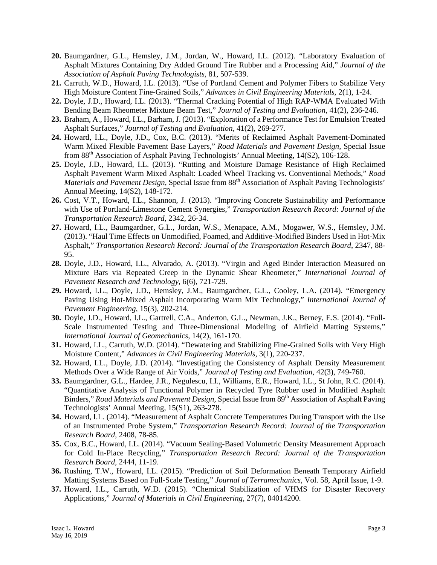- **20.** Baumgardner, G.L., Hemsley, J.M., Jordan, W., Howard, I.L. (2012). "Laboratory Evaluation of Asphalt Mixtures Containing Dry Added Ground Tire Rubber and a Processing Aid," *Journal of the Association of Asphalt Paving Technologists,* 81, 507-539.
- **21.** Carruth, W.D., Howard, I.L. (2013). "Use of Portland Cement and Polymer Fibers to Stabilize Very High Moisture Content Fine-Grained Soils," *Advances in Civil Engineering Materials,* 2(1), 1-24.
- **22.** Doyle, J.D., Howard, I.L. (2013). "Thermal Cracking Potential of High RAP-WMA Evaluated With Bending Beam Rheometer Mixture Beam Test," *Journal of Testing and Evaluation,* 41(2), 236-246.
- **23.** Braham, A., Howard, I.L., Barham, J. (2013). "Exploration of a Performance Test for Emulsion Treated Asphalt Surfaces," *Journal of Testing and Evaluation,* 41(2), 269-277.
- **24.** Howard, I.L., Doyle, J.D., Cox, B.C. (2013). "Merits of Reclaimed Asphalt Pavement-Dominated Warm Mixed Flexible Pavement Base Layers," *Road Materials and Pavement Design,* Special Issue from  $88<sup>th</sup>$  Association of Asphalt Paving Technologists' Annual Meeting, 14(S2), 106-128.
- **25.** Doyle, J.D., Howard, I.L. (2013). "Rutting and Moisture Damage Resistance of High Reclaimed Asphalt Pavement Warm Mixed Asphalt: Loaded Wheel Tracking vs. Conventional Methods," *Road Materials and Pavement Design, Special Issue from 88<sup>th</sup> Association of Asphalt Paving Technologists'* Annual Meeting, 14(S2), 148-172.
- **26.** Cost, V.T., Howard, I.L., Shannon, J. (2013). "Improving Concrete Sustainability and Performance with Use of Portland-Limestone Cement Synergies," *Transportation Research Record: Journal of the Transportation Research Board*, 2342, 26-34.
- **27.** Howard, I.L., Baumgardner, G.L., Jordan, W.S., Menapace, A.M., Mogawer, W.S., Hemsley, J.M. (2013). "Haul Time Effects on Unmodified, Foamed, and Additive-Modified Binders Used in Hot-Mix Asphalt," *Transportation Research Record: Journal of the Transportation Research Board*, 2347, 88- 95.
- **28.** Doyle, J.D., Howard, I.L., Alvarado, A. (2013). "Virgin and Aged Binder Interaction Measured on Mixture Bars via Repeated Creep in the Dynamic Shear Rheometer," *International Journal of Pavement Research and Technology,* 6(6), 721-729.
- **29.** Howard, I.L., Doyle, J.D., Hemsley, J.M., Baumgardner, G.L., Cooley, L.A. (2014). "Emergency Paving Using Hot-Mixed Asphalt Incorporating Warm Mix Technology," *International Journal of Pavement Engineering*, 15(3), 202-214.
- **30.** Doyle, J.D., Howard, I.L., Gartrell, C.A., Anderton, G.L., Newman, J.K., Berney, E.S. (2014). "Full-Scale Instrumented Testing and Three-Dimensional Modeling of Airfield Matting Systems," *International Journal of Geomechanics*, 14(2), 161-170.
- **31.** Howard, I.L., Carruth, W.D. (2014). "Dewatering and Stabilizing Fine-Grained Soils with Very High Moisture Content," *Advances in Civil Engineering Materials*, 3(1), 220-237.
- **32.** Howard, I.L., Doyle, J.D. (2014). "Investigating the Consistency of Asphalt Density Measurement Methods Over a Wide Range of Air Voids," *Journal of Testing and Evaluation,* 42(3), 749-760.
- **33.** Baumgardner, G.L., Hardee, J.R., Negulescu, I.I., Williams, E.R., Howard, I.L., St John, R.C. (2014). "Quantitative Analysis of Functional Polymer in Recycled Tyre Rubber used in Modified Asphalt Binders," *Road Materials and Pavement Design*, Special Issue from 89<sup>th</sup> Association of Asphalt Paving Technologists' Annual Meeting, 15(S1), 263-278.
- **34.** Howard, I.L. (2014). "Measurement of Asphalt Concrete Temperatures During Transport with the Use of an Instrumented Probe System," *Transportation Research Record: Journal of the Transportation Research Board,* 2408, 78-85.
- **35.** Cox, B.C., Howard, I.L. (2014). "Vacuum Sealing-Based Volumetric Density Measurement Approach for Cold In-Place Recycling," *Transportation Research Record: Journal of the Transportation Research Board,* 2444, 11-19.
- **36.** Rushing, T.W., Howard, I.L. (2015). "Prediction of Soil Deformation Beneath Temporary Airfield Matting Systems Based on Full-Scale Testing," *Journal of Terramechanics*, Vol. 58, April Issue, 1-9.
- **37.** Howard, I.L., Carruth, W.D. (2015). "Chemical Stabilization of VHMS for Disaster Recovery Applications," *Journal of Materials in Civil Engineering,* 27(7), 04014200.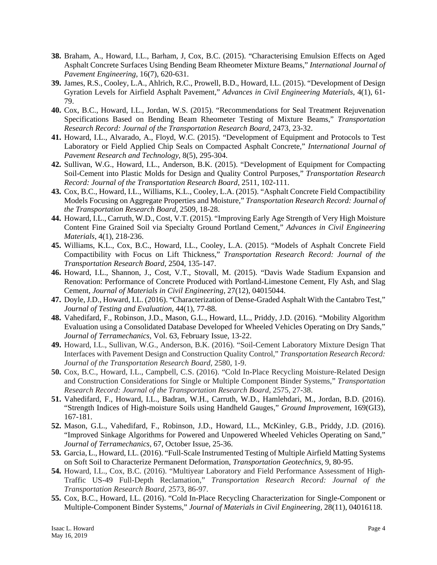- **38.** Braham, A., Howard, I.L., Barham, J, Cox, B.C. (2015). "Characterising Emulsion Effects on Aged Asphalt Concrete Surfaces Using Bending Beam Rheometer Mixture Beams," *International Journal of Pavement Engineering,* 16(7), 620-631.
- **39.** James, R.S., Cooley, L.A., Ahlrich, R.C., Prowell, B.D., Howard, I.L. (2015). "Development of Design Gyration Levels for Airfield Asphalt Pavement," *Advances in Civil Engineering Materials,* 4(1), 61- 79.
- **40.** Cox, B.C., Howard, I.L., Jordan, W.S. (2015). "Recommendations for Seal Treatment Rejuvenation Specifications Based on Bending Beam Rheometer Testing of Mixture Beams," *Transportation Research Record: Journal of the Transportation Research Board,* 2473, 23-32.
- **41.** Howard, I.L., Alvarado, A., Floyd, W.C. (2015). "Development of Equipment and Protocols to Test Laboratory or Field Applied Chip Seals on Compacted Asphalt Concrete," *International Journal of Pavement Research and Technology,* 8(5), 295-304.
- **42.** Sullivan, W.G., Howard, I.L., Anderson, B.K. (2015). "Development of Equipment for Compacting Soil-Cement into Plastic Molds for Design and Quality Control Purposes," *Transportation Research Record: Journal of the Transportation Research Board,* 2511, 102-111.
- **43.** Cox, B.C., Howard, I.L., Williams, K.L., Cooley, L.A. (2015). "Asphalt Concrete Field Compactibility Models Focusing on Aggregate Properties and Moisture," *Transportation Research Record: Journal of the Transportation Research Board,* 2509, 18-28.
- **44.** Howard, I.L., Carruth, W.D., Cost, V.T. (2015). "Improving Early Age Strength of Very High Moisture Content Fine Grained Soil via Specialty Ground Portland Cement," *Advances in Civil Engineering Materials,* 4(1), 218-236.
- **45.** Williams, K.L., Cox, B.C., Howard, I.L., Cooley, L.A. (2015). "Models of Asphalt Concrete Field Compactibility with Focus on Lift Thickness," *Transportation Research Record: Journal of the Transportation Research Board,* 2504, 135-147.
- **46.** Howard, I.L., Shannon, J., Cost, V.T., Stovall, M. (2015). "Davis Wade Stadium Expansion and Renovation: Performance of Concrete Produced with Portland-Limestone Cement, Fly Ash, and Slag Cement, *Journal of Materials in Civil Engineering,* 27(12), 04015044.
- **47.** Doyle, J.D., Howard, I.L. (2016). "Characterization of Dense-Graded Asphalt With the Cantabro Test," *Journal of Testing and Evaluation,* 44(1), 77-88.
- **48.** Vahedifard, F., Robinson, J.D., Mason, G.L., Howard, I.L., Priddy, J.D. (2016). "Mobility Algorithm Evaluation using a Consolidated Database Developed for Wheeled Vehicles Operating on Dry Sands," *Journal of Terramechanics,* Vol. 63, February Issue, 13-22.
- **49.** Howard, I.L., Sullivan, W.G., Anderson, B.K. (2016). "Soil-Cement Laboratory Mixture Design That Interfaces with Pavement Design and Construction Quality Control," *Transportation Research Record: Journal of the Transportation Research Board,* 2580, 1-9.
- **50.** Cox, B.C., Howard, I.L., Campbell, C.S. (2016). "Cold In-Place Recycling Moisture-Related Design and Construction Considerations for Single or Multiple Component Binder Systems," *Transportation Research Record: Journal of the Transportation Research Board,* 2575, 27-38.
- **51.** Vahedifard, F., Howard, I.L., Badran, W.H., Carruth, W.D., Hamlehdari, M., Jordan, B.D. (2016). "Strength Indices of High-moisture Soils using Handheld Gauges," *Ground Improvement,* 169(GI3), 167-181.
- **52.** Mason, G.L., Vahedifard, F., Robinson, J.D., Howard, I.L., McKinley, G.B., Priddy, J.D. (2016). "Improved Sinkage Algorithms for Powered and Unpowered Wheeled Vehicles Operating on Sand," *Journal of Terramechanics,* 67, October Issue, 25-36.
- **53.** Garcia, L., Howard, I.L. (2016). "Full-Scale Instrumented Testing of Multiple Airfield Matting Systems on Soft Soil to Characterize Permanent Deformation, *Transportation Geotechnics,* 9, 80-95.
- **54.** Howard, I.L., Cox, B.C. (2016). "Multiyear Laboratory and Field Performance Assessment of High-Traffic US-49 Full-Depth Reclamation," *Transportation Research Record: Journal of the Transportation Research Board,* 2573, 86-97.
- **55.** Cox, B.C., Howard, I.L. (2016). "Cold In-Place Recycling Characterization for Single-Component or Multiple-Component Binder Systems," *Journal of Materials in Civil Engineering,* 28(11), 04016118.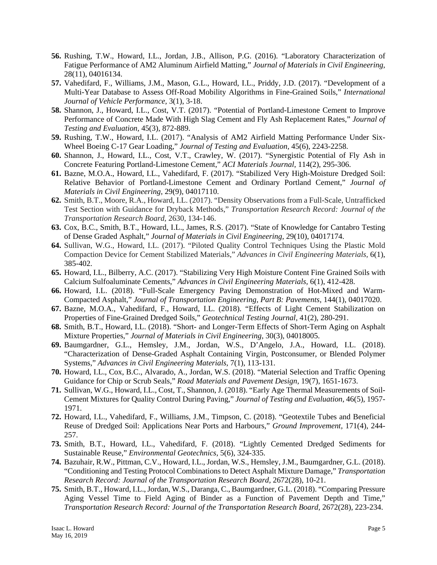- **56.** Rushing, T.W., Howard, I.L., Jordan, J.B., Allison, P.G. (2016). "Laboratory Characterization of Fatigue Performance of AM2 Aluminum Airfield Matting," *Journal of Materials in Civil Engineering,* 28(11), 04016134.
- **57.** Vahedifard, F., Williams, J.M., Mason, G.L., Howard, I.L., Priddy, J.D. (2017). "Development of a Multi-Year Database to Assess Off-Road Mobility Algorithms in Fine-Grained Soils," *International Journal of Vehicle Performance,* 3(1), 3-18.
- **58.** Shannon, J., Howard, I.L., Cost, V.T. (2017). "Potential of Portland-Limestone Cement to Improve Performance of Concrete Made With High Slag Cement and Fly Ash Replacement Rates," *Journal of Testing and Evaluation,* 45(3), 872-889.
- **59.** Rushing, T.W., Howard, I.L. (2017). "Analysis of AM2 Airfield Matting Performance Under Six-Wheel Boeing C-17 Gear Loading," *Journal of Testing and Evaluation,* 45(6), 2243-2258.
- **60.** Shannon, J., Howard, I.L., Cost, V.T., Crawley, W. (2017). "Synergistic Potential of Fly Ash in Concrete Featuring Portland-Limestone Cement," *ACI Materials Journal,* 114(2), 295-306.
- **61.** Bazne, M.O.A., Howard, I.L., Vahedifard, F. (2017). "Stabilized Very High-Moisture Dredged Soil: Relative Behavior of Portland-Limestone Cement and Ordinary Portland Cement," *Journal of Materials in Civil Engineering,* 29(9), 04017110.
- **62.** Smith, B.T., Moore, R.A., Howard, I.L. (2017). "Density Observations from a Full-Scale, Untrafficked Test Section with Guidance for Dryback Methods," *Transportation Research Record: Journal of the Transportation Research Board,* 2630, 134-146.
- **63.** Cox, B.C., Smith, B.T., Howard, I.L., James, R.S. (2017). "State of Knowledge for Cantabro Testing of Dense Graded Asphalt," *Journal of Materials in Civil Engineering,* 29(10), 04017174.
- **64.** Sullivan, W.G., Howard, I.L. (2017). "Piloted Quality Control Techniques Using the Plastic Mold Compaction Device for Cement Stabilized Materials," *Advances in Civil Engineering Materials,* 6(1), 385-402.
- **65.** Howard, I.L., Bilberry, A.C. (2017). "Stabilizing Very High Moisture Content Fine Grained Soils with Calcium Sulfoaluminate Cements," *Advances in Civil Engineering Materials,* 6(1), 412-428.
- **66.** Howard, I.L. (2018). "Full-Scale Emergency Paving Demonstration of Hot-Mixed and Warm-Compacted Asphalt," *Journal of Transportation Engineering, Part B: Pavements,* 144(1), 04017020.
- **67.** Bazne, M.O.A., Vahedifard, F., Howard, I.L. (2018). "Effects of Light Cement Stabilization on Properties of Fine-Grained Dredged Soils," *Geotechnical Testing Journal,* 41(2), 280-291.
- **68.** Smith, B.T., Howard, I.L. (2018). "Short- and Longer-Term Effects of Short-Term Aging on Asphalt Mixture Properties," *Journal of Materials in Civil Engineering,* 30(3), 04018005.
- **69.** Baumgardner, G.L., Hemsley, J.M., Jordan, W.S., D'Angelo, J.A., Howard, I.L. (2018). "Characterization of Dense-Graded Asphalt Containing Virgin, Postconsumer, or Blended Polymer Systems," *Advances in Civil Engineering Materials,* 7(1), 113-131.
- **70.** Howard, I.L., Cox, B.C., Alvarado, A., Jordan, W.S. (2018). "Material Selection and Traffic Opening Guidance for Chip or Scrub Seals," *Road Materials and Pavement Design,* 19(7), 1651-1673.
- **71.** Sullivan, W.G., Howard, I.L., Cost, T., Shannon, J. (2018). "Early Age Thermal Measurements of Soil-Cement Mixtures for Quality Control During Paving," *Journal of Testing and Evaluation,* 46(5), 1957- 1971.
- **72.** Howard, I.L., Vahedifard, F., Williams, J.M., Timpson, C. (2018). "Geotextile Tubes and Beneficial Reuse of Dredged Soil: Applications Near Ports and Harbours," *Ground Improvement,* 171(4), 244- 257.
- **73.** Smith, B.T., Howard, I.L., Vahedifard, F. (2018). "Lightly Cemented Dredged Sediments for Sustainable Reuse," *Environmental Geotechnics,* 5(6), 324-335.
- **74.** Bazuhair, R.W., Pittman, C.V., Howard, I.L., Jordan, W.S., Hemsley, J.M., Baumgardner, G.L. (2018). "Conditioning and Testing Protocol Combinations to Detect Asphalt Mixture Damage," *Transportation Research Record: Journal of the Transportation Research Board,* 2672(28), 10-21.
- **75.** Smith, B.T., Howard, I.L., Jordan, W.S., Daranga, C., Baumgardner, G.L. (2018). "Comparing Pressure Aging Vessel Time to Field Aging of Binder as a Function of Pavement Depth and Time," *Transportation Research Record: Journal of the Transportation Research Board,* 2672(28), 223-234.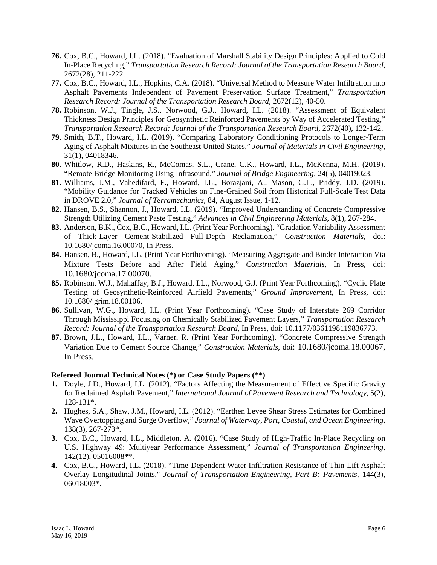- **76.** Cox, B.C., Howard, I.L. (2018). "Evaluation of Marshall Stability Design Principles: Applied to Cold In-Place Recycling," *Transportation Research Record: Journal of the Transportation Research Board,* 2672(28), 211-222.
- **77.** Cox, B.C., Howard, I.L., Hopkins, C.A. (2018). "Universal Method to Measure Water Infiltration into Asphalt Pavements Independent of Pavement Preservation Surface Treatment," *Transportation Research Record: Journal of the Transportation Research Board,* 2672(12), 40-50.
- **78.** Robinson, W.J., Tingle, J.S., Norwood, G.J., Howard, I.L. (2018). "Assessment of Equivalent Thickness Design Principles for Geosynthetic Reinforced Pavements by Way of Accelerated Testing," *Transportation Research Record: Journal of the Transportation Research Board,* 2672(40), 132-142.
- **79.** Smith, B.T., Howard, I.L. (2019). "Comparing Laboratory Conditioning Protocols to Longer-Term Aging of Asphalt Mixtures in the Southeast United States," *Journal of Materials in Civil Engineering,*  31(1), 04018346.
- **80.** Whitlow, R.D., Haskins, R., McComas, S.L., Crane, C.K., Howard, I.L., McKenna, M.H. (2019). "Remote Bridge Monitoring Using Infrasound," *Journal of Bridge Engineering,* 24(5), 04019023.
- **81.** Williams, J.M., Vahedifard, F., Howard, I.L., Borazjani, A., Mason, G.L., Priddy, J.D. (2019). "Mobility Guidance for Tracked Vehicles on Fine-Grained Soil from Historical Full-Scale Test Data in DROVE 2.0," *Journal of Terramechanics,* 84, August Issue, 1-12.
- **82.** Hansen, B.S., Shannon, J., Howard, I.L. (2019). "Improved Understanding of Concrete Compressive Strength Utilizing Cement Paste Testing," *Advances in Civil Engineering Materials,* 8(1), 267-284.
- **83.** Anderson, B.K., Cox, B.C., Howard, I.L. (Print Year Forthcoming). "Gradation Variability Assessment of Thick-Layer Cement-Stabilized Full-Depth Reclamation," *Construction Materials,* doi: 10.1680/jcoma.16.00070, In Press.
- **84.** Hansen, B., Howard, I.L. (Print Year Forthcoming). "Measuring Aggregate and Binder Interaction Via Mixture Tests Before and After Field Aging," *Construction Materials,* In Press, doi: 10.1680/jcoma.17.00070.
- **85.** Robinson, W.J., Mahaffay, B.J., Howard, I.L., Norwood, G.J. (Print Year Forthcoming). "Cyclic Plate Testing of Geosynthetic-Reinforced Airfield Pavements," *Ground Improvement,* In Press, doi: 10.1680/jgrim.18.00106.
- **86.** Sullivan, W.G., Howard, I.L. (Print Year Forthcoming). "Case Study of Interstate 269 Corridor Through Mississippi Focusing on Chemically Stabilized Pavement Layers," *Transportation Research Record: Journal of the Transportation Research Board,* In Press, doi: 10.1177/0361198119836773.
- **87.** Brown, J.L., Howard, I.L., Varner, R. (Print Year Forthcoming). "Concrete Compressive Strength Variation Due to Cement Source Change," *Construction Materials,* doi: 10.1680/jcoma.18.00067, In Press.

#### **Refereed Journal Technical Notes (\*) or Case Study Papers (\*\*)**

- **1.** Doyle, J.D., Howard, I.L. (2012). "Factors Affecting the Measurement of Effective Specific Gravity for Reclaimed Asphalt Pavement," *International Journal of Pavement Research and Technology*, 5(2), 128-131\*.
- **2.** Hughes, S.A., Shaw, J.M., Howard, I.L. (2012). "Earthen Levee Shear Stress Estimates for Combined Wave Overtopping and Surge Overflow," *Journal of Waterway, Port, Coastal, and Ocean Engineering,*  138(3), 267-273\*.
- **3.** Cox, B.C., Howard, I.L., Middleton, A. (2016). "Case Study of High-Traffic In-Place Recycling on U.S. Highway 49: Multiyear Performance Assessment," *Journal of Transportation Engineering,* 142(12), 05016008\*\*.
- **4.** Cox, B.C., Howard, I.L. (2018). "Time-Dependent Water Infiltration Resistance of Thin-Lift Asphalt Overlay Longitudinal Joints," *Journal of Transportation Engineering, Part B: Pavements,* 144(3), 06018003\*.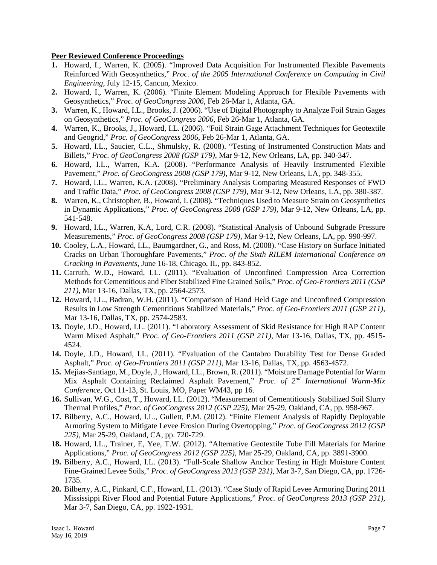### **Peer Reviewed Conference Proceedings**

- **1.** Howard, I., Warren, K. (2005). "Improved Data Acquisition For Instrumented Flexible Pavements Reinforced With Geosynthetics," *Proc. of the 2005 International Conference on Computing in Civil Engineering*, July 12-15, Cancun, Mexico.
- **2.** Howard, I., Warren, K. (2006). "Finite Element Modeling Approach for Flexible Pavements with Geosynthetics," *Proc. of GeoCongress 2006*, Feb 26-Mar 1, Atlanta, GA.
- **3.** Warren, K., Howard, I.L., Brooks, J. (2006). "Use of Digital Photography to Analyze Foil Strain Gages on Geosynthetics," *Proc. of GeoCongress 2006*, Feb 26-Mar 1, Atlanta, GA.
- **4.** Warren, K., Brooks, J., Howard, I.L. (2006). "Foil Strain Gage Attachment Techniques for Geotextile and Geogrid," *Proc. of GeoCongress 2006*, Feb 26-Mar 1, Atlanta, GA.
- **5.** Howard, I.L., Saucier, C.L., Shmulsky, R. (2008). "Testing of Instrumented Construction Mats and Billets," *Proc. of GeoCongress 2008 (GSP 179)*, Mar 9-12, New Orleans, LA, pp. 340-347.
- **6.** Howard, I.L., Warren, K.A. (2008). "Performance Analysis of Heavily Instrumented Flexible Pavement," *Proc. of GeoCongress 2008 (GSP 179)*, Mar 9-12, New Orleans, LA, pp. 348-355.
- **7.** Howard, I.L., Warren, K.A. (2008). "Preliminary Analysis Comparing Measured Responses of FWD and Traffic Data," *Proc. of GeoCongress 2008 (GSP 179)*, Mar 9-12, New Orleans, LA, pp. 380-387.
- **8.** Warren, K., Christopher, B., Howard, I. (2008). "Techniques Used to Measure Strain on Geosynthetics in Dynamic Applications," *Proc. of GeoCongress 2008 (GSP 179)*, Mar 9-12, New Orleans, LA, pp. 541-548.
- **9.** Howard, I.L., Warren, K.A, Lord, C.R. (2008). "Statistical Analysis of Unbound Subgrade Pressure Measurements," *Proc. of GeoCongress 2008 (GSP 179)*, Mar 9-12, New Orleans, LA, pp. 990-997.
- **10.** Cooley, L.A., Howard, I.L., Baumgardner, G., and Ross, M. (2008). "Case History on Surface Initiated Cracks on Urban Thoroughfare Pavements," *Proc. of the Sixth RILEM International Conference on Cracking in Pavements,* June 16-18, Chicago, IL, pp. 843-852.
- **11.** Carruth, W.D., Howard, I.L. (2011). "Evaluation of Unconfined Compression Area Correction Methods for Cementitious and Fiber Stabilized Fine Grained Soils," *Proc. of Geo-Frontiers 2011 (GSP 211)*, Mar 13-16, Dallas, TX, pp. 2564-2573.
- **12.** Howard, I.L., Badran, W.H. (2011). "Comparison of Hand Held Gage and Unconfined Compression Results in Low Strength Cementitious Stabilized Materials," *Proc. of Geo-Frontiers 2011 (GSP 211)*, Mar 13-16, Dallas, TX, pp. 2574-2583.
- **13.** Doyle, J.D., Howard, I.L. (2011). "Laboratory Assessment of Skid Resistance for High RAP Content Warm Mixed Asphalt," *Proc. of Geo-Frontiers 2011 (GSP 211)*, Mar 13-16, Dallas, TX, pp. 4515- 4524.
- **14.** Doyle, J.D., Howard, I.L. (2011). "Evaluation of the Cantabro Durability Test for Dense Graded Asphalt," *Proc. of Geo-Frontiers 2011 (GSP 211)*, Mar 13-16, Dallas, TX, pp. 4563-4572.
- **15.** Mejias-Santiago, M., Doyle, J., Howard, I.L., Brown, R. (2011). "Moisture Damage Potential for Warm Mix Asphalt Containing Reclaimed Asphalt Pavement," *Proc. of 2nd International Warm-Mix Conference,* Oct 11-13, St. Louis, MO, Paper WM43, pp 16.
- **16.** Sullivan, W.G., Cost, T., Howard, I.L. (2012). "Measurement of Cementitiously Stabilized Soil Slurry Thermal Profiles," *Proc. of GeoCongress 2012 (GSP 225)*, Mar 25-29, Oakland, CA, pp. 958-967.
- **17.** Bilberry, A.C., Howard, I.L., Gullett, P.M. (2012). "Finite Element Analysis of Rapidly Deployable Armoring System to Mitigate Levee Erosion During Overtopping," *Proc. of GeoCongress 2012 (GSP 225)*, Mar 25-29, Oakland, CA, pp. 720-729.
- **18.** Howard, I.L., Trainer, E, Yee, T.W. (2012). "Alternative Geotextile Tube Fill Materials for Marine Applications," *Proc. of GeoCongress 2012 (GSP 225)*, Mar 25-29, Oakland, CA, pp. 3891-3900.
- **19.** Bilberry, A.C., Howard, I.L. (2013). "Full-Scale Shallow Anchor Testing in High Moisture Content Fine-Grained Levee Soils," *Proc. of GeoCongress 2013 (GSP 231)*, Mar 3-7, San Diego, CA, pp. 1726- 1735.
- **20.** Bilberry, A.C., Pinkard, C.F., Howard, I.L. (2013). "Case Study of Rapid Levee Armoring During 2011 Mississippi River Flood and Potential Future Applications," *Proc. of GeoCongress 2013 (GSP 231)*, Mar 3-7, San Diego, CA, pp. 1922-1931.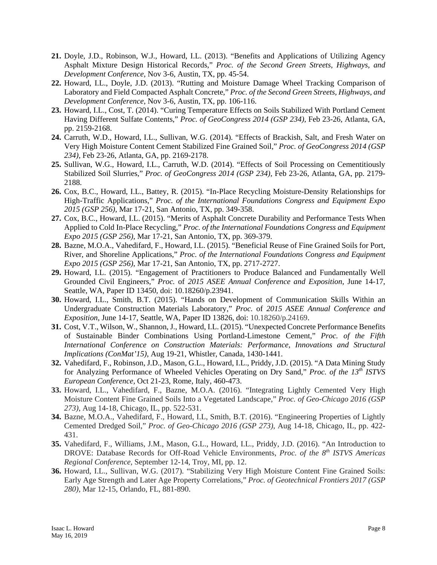- **21.** Doyle, J.D., Robinson, W.J., Howard, I.L. (2013). "Benefits and Applications of Utilizing Agency Asphalt Mixture Design Historical Records," *Proc. of the Second Green Streets, Highways, and Development Conference,* Nov 3-6, Austin, TX, pp. 45-54.
- **22.** Howard, I.L., Doyle, J.D. (2013). "Rutting and Moisture Damage Wheel Tracking Comparison of Laboratory and Field Compacted Asphalt Concrete," *Proc. of the Second Green Streets, Highways, and Development Conference,* Nov 3-6, Austin, TX, pp. 106-116.
- **23.** Howard, I.L., Cost, T. (2014). "Curing Temperature Effects on Soils Stabilized With Portland Cement Having Different Sulfate Contents," *Proc. of GeoCongress 2014 (GSP 234),* Feb 23-26, Atlanta, GA, pp. 2159-2168.
- **24.** Carruth, W.D., Howard, I.L., Sullivan, W.G. (2014). "Effects of Brackish, Salt, and Fresh Water on Very High Moisture Content Cement Stabilized Fine Grained Soil," *Proc. of GeoCongress 2014 (GSP 234),* Feb 23-26, Atlanta, GA, pp. 2169-2178.
- **25.** Sullivan, W.G., Howard, I.L., Carruth, W.D. (2014). "Effects of Soil Processing on Cementitiously Stabilized Soil Slurries," *Proc. of GeoCongress 2014 (GSP 234),* Feb 23-26, Atlanta, GA, pp. 2179- 2188.
- **26.** Cox, B.C., Howard, I.L., Battey, R. (2015). "In-Place Recycling Moisture-Density Relationships for High-Traffic Applications," *Proc. of the International Foundations Congress and Equipment Expo 2015 (GSP 256)*, Mar 17-21, San Antonio, TX, pp. 349-358.
- **27.** Cox, B.C., Howard, I.L. (2015). "Merits of Asphalt Concrete Durability and Performance Tests When Applied to Cold In-Place Recycling," *Proc. of the International Foundations Congress and Equipment Expo 2015 (GSP 256)*, Mar 17-21, San Antonio, TX, pp. 369-379.
- **28.** Bazne, M.O.A., Vahedifard, F., Howard, I.L. (2015). "Beneficial Reuse of Fine Grained Soils for Port, River, and Shoreline Applications," *Proc. of the International Foundations Congress and Equipment Expo 2015 (GSP 256)*, Mar 17-21, San Antonio, TX, pp. 2717-2727.
- **29.** Howard, I.L. (2015). "Engagement of Practitioners to Produce Balanced and Fundamentally Well Grounded Civil Engineers," *Proc.* of *2015 ASEE Annual Conference and Exposition*, June 14-17, Seattle, WA, Paper ID 13450, doi: 10.18260/p.23941.
- **30.** Howard, I.L., Smith, B.T. (2015). "Hands on Development of Communication Skills Within an Undergraduate Construction Materials Laboratory," *Proc.* of *2015 ASEE Annual Conference and Exposition*, June 14-17, Seattle, WA, Paper ID 13826, doi: 10.18260/p.24169.
- **31.** Cost, V.T., Wilson, W., Shannon, J., Howard, I.L. (2015). "Unexpected Concrete Performance Benefits of Sustainable Binder Combinations Using Portland-Limestone Cement," *Proc. of the Fifth International Conference on Construction Materials: Performance, Innovations and Structural Implications (ConMat'15)*, Aug 19-21, Whistler, Canada, 1430-1441.
- **32.** Vahedifard, F., Robinson, J.D., Mason, G.L., Howard, I.L., Priddy, J.D. (2015). "A Data Mining Study for Analyzing Performance of Wheeled Vehicles Operating on Dry Sand," *Proc. of the 13th ISTVS European Conference,* Oct 21-23, Rome, Italy, 460-473.
- **33.** Howard, I.L., Vahedifard, F., Bazne, M.O.A. (2016). "Integrating Lightly Cemented Very High Moisture Content Fine Grained Soils Into a Vegetated Landscape," *Proc. of Geo-Chicago 2016 (GSP 273)*, Aug 14-18, Chicago, IL, pp. 522-531.
- **34.** Bazne, M.O.A., Vahedifard, F., Howard, I.L, Smith, B.T. (2016). "Engineering Properties of Lightly Cemented Dredged Soil," *Proc. of Geo-Chicago 2016 (GSP 273)*, Aug 14-18, Chicago, IL, pp. 422- 431.
- **35.** Vahedifard, F., Williams, J.M., Mason, G.L., Howard, I.L., Priddy, J.D. (2016). "An Introduction to DROVE: Database Records for Off-Road Vehicle Environments, *Proc. of the 8th ISTVS Americas Regional Conference,* September 12-14, Troy, MI, pp. 12.
- **36.** Howard, I.L., Sullivan, W.G. (2017). "Stabilizing Very High Moisture Content Fine Grained Soils: Early Age Strength and Later Age Property Correlations," *Proc. of Geotechnical Frontiers 2017 (GSP 280),* Mar 12-15, Orlando, FL, 881-890.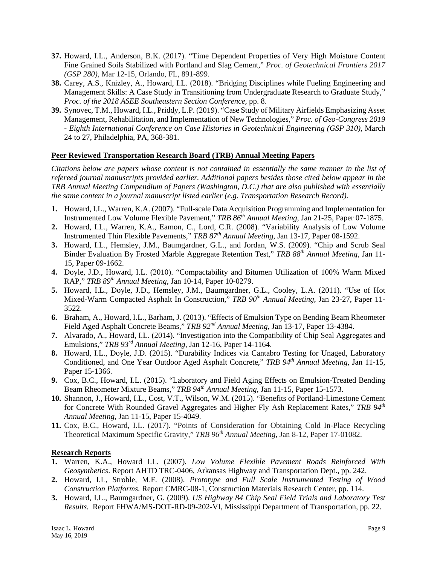- **37.** Howard, I.L., Anderson, B.K. (2017). "Time Dependent Properties of Very High Moisture Content Fine Grained Soils Stabilized with Portland and Slag Cement," *Proc. of Geotechnical Frontiers 2017 (GSP 280),* Mar 12-15, Orlando, FL, 891-899.
- **38.** Carey, A.S., Knizley, A., Howard, I.L. (2018). "Bridging Disciplines while Fueling Engineering and Management Skills: A Case Study in Transitioning from Undergraduate Research to Graduate Study," *Proc. of the 2018 ASEE Southeastern Section Conference,* pp. 8.
- **39.** Synovec, T.M., Howard, I.L., Priddy, L.P. (2019). "Case Study of Military Airfields Emphasizing Asset Management, Rehabilitation, and Implementation of New Technologies," *Proc. of Geo-Congress 2019 - Eighth International Conference on Case Histories in Geotechnical Engineering (GSP 310),* March 24 to 27, Philadelphia, PA, 368-381.

### **Peer Reviewed Transportation Research Board (TRB) Annual Meeting Papers**

*Citations below are papers whose content is not contained in essentially the same manner in the list of refereed journal manuscripts provided earlier. Additional papers besides those cited below appear in the TRB Annual Meeting Compendium of Papers (Washington, D.C.) that are also published with essentially the same content in a journal manuscript listed earlier (e.g. Transportation Research Record).* 

- **1.** Howard, I.L., Warren, K.A. (2007). "Full-scale Data Acquisition Programming and Implementation for Instrumented Low Volume Flexible Pavement," *TRB 86th Annual Meeting*, Jan 21-25, Paper 07-1875.
- **2.** Howard, I.L., Warren, K.A., Eamon, C., Lord, C.R. (2008). "Variability Analysis of Low Volume Instrumented Thin Flexible Pavements," *TRB 87th Annual Meeting*, Jan 13-17, Paper 08-1592.
- **3.** Howard, I.L., Hemsley, J.M., Baumgardner, G.L., and Jordan, W.S. (2009). "Chip and Scrub Seal Binder Evaluation By Frosted Marble Aggregate Retention Test," *TRB 88th Annual Meeting*, Jan 11- 15, Paper 09-1662.
- **4.** Doyle, J.D., Howard, I.L. (2010). "Compactability and Bitumen Utilization of 100% Warm Mixed RAP," *TRB 89th Annual Meeting*, Jan 10-14, Paper 10-0279.
- **5.** Howard, I.L., Doyle, J.D., Hemsley, J.M., Baumgardner, G.L., Cooley, L.A. (2011). "Use of Hot Mixed-Warm Compacted Asphalt In Construction," *TRB 90th Annual Meeting*, Jan 23-27, Paper 11- 3522.
- **6.** Braham, A., Howard, I.L., Barham, J. (2013). "Effects of Emulsion Type on Bending Beam Rheometer Field Aged Asphalt Concrete Beams," *TRB 92nd Annual Meeting*, Jan 13-17, Paper 13-4384.
- **7.** Alvarado, A., Howard, I.L. (2014). "Investigation into the Compatibility of Chip Seal Aggregates and Emulsions," *TRB 93rd Annual Meeting,* Jan 12-16, Paper 14-1164.
- **8.** Howard, I.L., Doyle, J.D. (2015). "Durability Indices via Cantabro Testing for Unaged, Laboratory Conditioned, and One Year Outdoor Aged Asphalt Concrete," *TRB 94th Annual Meeting,* Jan 11-15, Paper 15-1366.
- **9.** Cox, B.C., Howard, I.L. (2015). "Laboratory and Field Aging Effects on Emulsion-Treated Bending Beam Rheometer Mixture Beams," *TRB 94th Annual Meeting,* Jan 11-15, Paper 15-1573.
- **10.** Shannon, J., Howard, I.L., Cost, V.T., Wilson, W.M. (2015). "Benefits of Portland-Limestone Cement for Concrete With Rounded Gravel Aggregates and Higher Fly Ash Replacement Rates," *TRB 94th Annual Meeting,* Jan 11-15, Paper 15-4049.
- **11.** Cox, B.C., Howard, I.L. (2017). "Points of Consideration for Obtaining Cold In-Place Recycling Theoretical Maximum Specific Gravity," *TRB 96th Annual Meeting,* Jan 8-12, Paper 17-01082.

### **Research Reports**

- **1.** Warren, K.A., Howard I.L. (2007). *Low Volume Flexible Pavement Roads Reinforced With Geosynthetics*. Report AHTD TRC-0406*,* Arkansas Highway and Transportation Dept., pp. 242.
- **2.** Howard, I.L, Stroble, M.F. (2008). *Prototype and Full Scale Instrumented Testing of Wood Construction Platforms.* Report CMRC-08-1, Construction Materials Research Center, pp. 114.
- **3.** Howard, I.L., Baumgardner, G. (2009). *US Highway 84 Chip Seal Field Trials and Laboratory Test Results.* Report FHWA/MS-DOT-RD-09-202-VI, Mississippi Department of Transportation, pp. 22.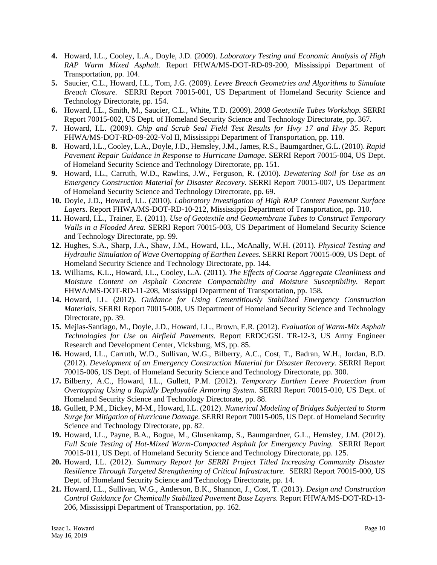- **4.** Howard, I.L., Cooley, L.A., Doyle, J.D. (2009). *Laboratory Testing and Economic Analysis of High RAP Warm Mixed Asphalt.* Report FHWA/MS-DOT-RD-09-200, Mississippi Department of Transportation, pp. 104.
- **5.** Saucier, C.L., Howard, I.L., Tom, J.G. (2009). *Levee Breach Geometries and Algorithms to Simulate Breach Closure.* SERRI Report 70015-001, US Department of Homeland Security Science and Technology Directorate, pp. 154.
- **6.** Howard, I.L., Smith, M., Saucier, C.L., White, T.D. (2009). *2008 Geotextile Tubes Workshop.* SERRI Report 70015-002, US Dept. of Homeland Security Science and Technology Directorate, pp. 367.
- **7.** Howard, I.L. (2009). *Chip and Scrub Seal Field Test Results for Hwy 17 and Hwy 35.* Report FHWA/MS-DOT-RD-09-202-Vol II, Mississippi Department of Transportation, pp. 118.
- **8.** Howard, I.L., Cooley, L.A., Doyle, J.D., Hemsley, J.M., James, R.S., Baumgardner, G.L. (2010). *Rapid Pavement Repair Guidance in Response to Hurricane Damage.* SERRI Report 70015-004, US Dept. of Homeland Security Science and Technology Directorate, pp. 151.
- **9.** Howard, I.L., Carruth, W.D., Rawlins, J.W., Ferguson, R. (2010). *Dewatering Soil for Use as an Emergency Construction Material for Disaster Recovery.* SERRI Report 70015-007, US Department of Homeland Security Science and Technology Directorate, pp. 69.
- **10.** Doyle, J.D., Howard, I.L. (2010). *Laboratory Investigation of High RAP Content Pavement Surface Layers.* Report FHWA/MS-DOT-RD-10-212, Mississippi Department of Transportation, pp. 310.
- **11.** Howard, I.L., Trainer, E. (2011). *Use of Geotextile and Geomembrane Tubes to Construct Temporary Walls in a Flooded Area.* SERRI Report 70015-003, US Department of Homeland Security Science and Technology Directorate, pp. 99.
- **12.** Hughes, S.A., Sharp, J.A., Shaw, J.M., Howard, I.L., McAnally, W.H. (2011). *Physical Testing and Hydraulic Simulation of Wave Overtopping of Earthen Levees.* SERRI Report 70015-009, US Dept. of Homeland Security Science and Technology Directorate, pp. 144.
- **13.** Williams, K.L., Howard, I.L., Cooley, L.A. (2011). *The Effects of Coarse Aggregate Cleanliness and Moisture Content on Asphalt Concrete Compactability and Moisture Susceptibility.* Report FHWA/MS-DOT-RD-11-208, Mississippi Department of Transportation, pp. 158.
- **14.** Howard, I.L. (2012). *Guidance for Using Cementitiously Stabilized Emergency Construction Materials.* SERRI Report 70015-008, US Department of Homeland Security Science and Technology Directorate, pp. 39.
- **15.** Mejias-Santiago, M., Doyle, J.D., Howard, I.L., Brown, E.R. (2012). *Evaluation of Warm-Mix Asphalt Technologies for Use on Airfield Pavements.* Report ERDC/GSL TR-12-3, US Army Engineer Research and Development Center, Vicksburg, MS, pp. 85.
- **16.** Howard, I.L., Carruth, W.D., Sullivan, W.G., Bilberry, A.C., Cost, T., Badran, W.H., Jordan, B.D. (2012). *Development of an Emergency Construction Material for Disaster Recovery.* SERRI Report 70015-006, US Dept. of Homeland Security Science and Technology Directorate, pp. 300.
- **17.** Bilberry, A.C., Howard, I.L., Gullett, P.M. (2012). *Temporary Earthen Levee Protection from Overtopping Using a Rapidly Deployable Armoring System.* SERRI Report 70015-010, US Dept. of Homeland Security Science and Technology Directorate, pp. 88.
- **18.** Gullett, P.M., Dickey, M-M., Howard, I.L. (2012). *Numerical Modeling of Bridges Subjected to Storm Surge for Mitigation of Hurricane Damage.* SERRI Report 70015-005, US Dept. of Homeland Security Science and Technology Directorate, pp. 82.
- **19.** Howard, I.L., Payne, B.A., Bogue, M., Glusenkamp, S., Baumgardner, G.L., Hemsley, J.M. (2012). *Full Scale Testing of Hot-Mixed Warm-Compacted Asphalt for Emergency Paving.* SERRI Report 70015-011, US Dept. of Homeland Security Science and Technology Directorate, pp. 125.
- **20.** Howard, I.L. (2012). *Summary Report for SERRI Project Titled Increasing Community Disaster Resilience Through Targeted Strengthening of Critical Infrastructure.* SERRI Report 70015-000, US Dept. of Homeland Security Science and Technology Directorate, pp. 14.
- **21.** Howard, I.L., Sullivan, W.G., Anderson, B.K., Shannon, J., Cost, T. (2013). *Design and Construction Control Guidance for Chemically Stabilized Pavement Base Layers.* Report FHWA/MS-DOT-RD-13- 206, Mississippi Department of Transportation, pp. 162.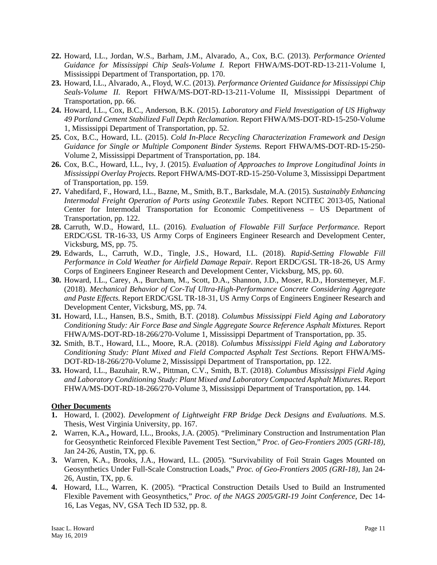- **22.** Howard, I.L., Jordan, W.S., Barham, J.M., Alvarado, A., Cox, B.C. (2013). *Performance Oriented Guidance for Mississippi Chip Seals-Volume I.* Report FHWA/MS-DOT-RD-13-211-Volume I, Mississippi Department of Transportation, pp. 170.
- **23.** Howard, I.L., Alvarado, A., Floyd, W.C. (2013). *Performance Oriented Guidance for Mississippi Chip Seals-Volume II.* Report FHWA/MS-DOT-RD-13-211-Volume II, Mississippi Department of Transportation, pp. 66.
- **24.** Howard, I.L., Cox, B.C., Anderson, B.K. (2015). *Laboratory and Field Investigation of US Highway 49 Portland Cement Stabilized Full Depth Reclamation.* Report FHWA/MS-DOT-RD-15-250-Volume 1, Mississippi Department of Transportation, pp. 52.
- **25.** Cox, B.C., Howard, I.L. (2015). *Cold In-Place Recycling Characterization Framework and Design Guidance for Single or Multiple Component Binder Systems.* Report FHWA/MS-DOT-RD-15-250- Volume 2, Mississippi Department of Transportation, pp. 184.
- **26.** Cox, B.C., Howard, I.L., Ivy, J. (2015). *Evaluation of Approaches to Improve Longitudinal Joints in Mississippi Overlay Projects.* Report FHWA/MS-DOT-RD-15-250-Volume 3, Mississippi Department of Transportation, pp. 159.
- **27.** Vahedifard, F., Howard, I.L., Bazne, M., Smith, B.T., Barksdale, M.A. (2015). *Sustainably Enhancing Intermodal Freight Operation of Ports using Geotextile Tubes.* Report NCITEC 2013-05, National Center for Intermodal Transportation for Economic Competitiveness – US Department of Transportation, pp. 122.
- **28.** Carruth, W.D., Howard, I.L. (2016). *Evaluation of Flowable Fill Surface Performance.* Report ERDC/GSL TR-16-33, US Army Corps of Engineers Engineer Research and Development Center, Vicksburg, MS, pp. 75.
- **29.** Edwards, L., Carruth, W.D., Tingle, J.S., Howard, I.L. (2018). *Rapid-Setting Flowable Fill Performance in Cold Weather for Airfield Damage Repair.* Report ERDC/GSL TR-18-26, US Army Corps of Engineers Engineer Research and Development Center, Vicksburg, MS, pp. 60.
- **30.** Howard, I.L., Carey, A., Burcham, M., Scott, D.A., Shannon, J.D., Moser, R.D., Horstemeyer, M.F. (2018). *Mechanical Behavior of Cor-Tuf Ultra-High-Performance Concrete Considering Aggregate and Paste Effects.* Report ERDC/GSL TR-18-31, US Army Corps of Engineers Engineer Research and Development Center, Vicksburg, MS, pp. 74.
- **31.** Howard, I.L., Hansen, B.S., Smith, B.T. (2018). *Columbus Mississippi Field Aging and Laboratory Conditioning Study: Air Force Base and Single Aggregate Source Reference Asphalt Mixtures.* Report FHWA/MS-DOT-RD-18-266/270-Volume 1, Mississippi Department of Transportation, pp. 35.
- **32.** Smith, B.T., Howard, I.L., Moore, R.A. (2018). *Columbus Mississippi Field Aging and Laboratory Conditioning Study: Plant Mixed and Field Compacted Asphalt Test Sections.* Report FHWA/MS-DOT-RD-18-266/270-Volume 2, Mississippi Department of Transportation, pp. 122.
- **33.** Howard, I.L., Bazuhair, R.W., Pittman, C.V., Smith, B.T. (2018). *Columbus Mississippi Field Aging and Laboratory Conditioning Study: Plant Mixed and Laboratory Compacted Asphalt Mixtures.* Report FHWA/MS-DOT-RD-18-266/270-Volume 3, Mississippi Department of Transportation, pp. 144.

### **Other Documents**

- **1.** Howard, I. (2002). *Development of Lightweight FRP Bridge Deck Designs and Evaluations*. M.S. Thesis, West Virginia University, pp. 167.
- **2.** Warren, K.A.**,** Howard, I.L., Brooks, J.A. (2005). "Preliminary Construction and Instrumentation Plan for Geosynthetic Reinforced Flexible Pavement Test Section," *Proc. of Geo-Frontiers 2005 (GRI-18)*, Jan 24-26, Austin, TX, pp. 6.
- **3.** Warren, K.A., Brooks, J.A., Howard, I.L. (2005). "Survivability of Foil Strain Gages Mounted on Geosynthetics Under Full-Scale Construction Loads," *Proc. of Geo-Frontiers 2005 (GRI-18)*, Jan 24- 26, Austin, TX, pp. 6.
- **4.** Howard, I.L., Warren, K. (2005). "Practical Construction Details Used to Build an Instrumented Flexible Pavement with Geosynthetics," *Proc. of the NAGS 2005/GRI-19 Joint Conference*, Dec 14- 16, Las Vegas, NV, GSA Tech ID 532, pp. 8.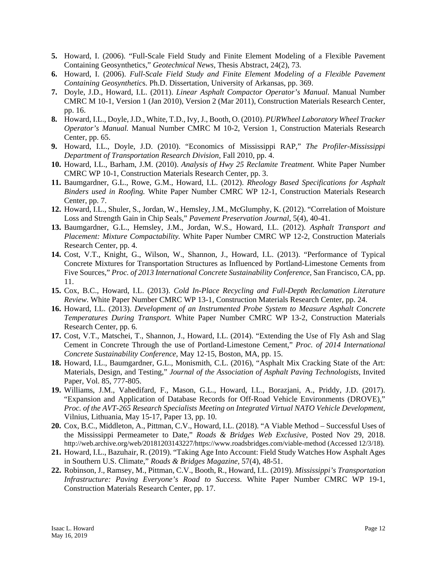- **5.** Howard, I. (2006). "Full-Scale Field Study and Finite Element Modeling of a Flexible Pavement Containing Geosynthetics," *Geotechnical News*, Thesis Abstract, 24(2), 73.
- **6.** Howard, I. (2006). *Full-Scale Field Study and Finite Element Modeling of a Flexible Pavement Containing Geosynthetic*s. Ph.D. Dissertation, University of Arkansas, pp. 369.
- **7.** Doyle, J.D., Howard, I.L. (2011). *Linear Asphalt Compactor Operator's Manual.* Manual Number CMRC M 10-1, Version 1 (Jan 2010), Version 2 (Mar 2011), Construction Materials Research Center, pp. 16.
- **8.** Howard, I.L., Doyle, J.D., White, T.D., Ivy, J., Booth, O. (2010). *PURWheel Laboratory Wheel Tracker Operator's Manual.* Manual Number CMRC M 10-2, Version 1, Construction Materials Research Center, pp. 65.
- **9.** Howard, I.L., Doyle, J.D. (2010). "Economics of Mississippi RAP," *The Profiler-Mississippi Department of Transportation Research Division,* Fall 2010, pp. 4.
- **10.** Howard, I.L., Barham, J.M. (2010). *Analysis of Hwy 25 Reclamite Treatment.* White Paper Number CMRC WP 10-1, Construction Materials Research Center, pp. 3.
- **11.** Baumgardner, G.L., Rowe, G.M., Howard, I.L. (2012). *Rheology Based Specifications for Asphalt Binders used in Roofing.* White Paper Number CMRC WP 12-1, Construction Materials Research Center, pp. 7.
- **12.** Howard, I.L., Shuler, S., Jordan, W., Hemsley, J.M., McGlumphy, K. (2012). "Correlation of Moisture Loss and Strength Gain in Chip Seals," *Pavement Preservation Journal*, 5(4), 40-41.
- **13.** Baumgardner, G.L., Hemsley, J.M., Jordan, W.S., Howard, I.L. (2012). *Asphalt Transport and Placement: Mixture Compactability.* White Paper Number CMRC WP 12-2, Construction Materials Research Center, pp. 4.
- **14.** Cost, V.T., Knight, G., Wilson, W., Shannon, J., Howard, I.L. (2013). "Performance of Typical Concrete Mixtures for Transportation Structures as Influenced by Portland-Limestone Cements from Five Sources," *Proc. of 2013 International Concrete Sustainability Conference,* San Francisco, CA, pp. 11.
- **15.** Cox, B.C., Howard, I.L. (2013). *Cold In-Place Recycling and Full-Depth Reclamation Literature Review*. White Paper Number CMRC WP 13-1, Construction Materials Research Center, pp. 24.
- **16.** Howard, I.L. (2013). *Development of an Instrumented Probe System to Measure Asphalt Concrete Temperatures During Transport.* White Paper Number CMRC WP 13-2, Construction Materials Research Center, pp. 6.
- **17.** Cost, V.T., Matschei, T., Shannon, J., Howard, I.L. (2014). "Extending the Use of Fly Ash and Slag Cement in Concrete Through the use of Portland-Limestone Cement," *Proc. of 2014 International Concrete Sustainability Conference,* May 12-15, Boston, MA, pp. 15.
- **18.** Howard, I.L., Baumgardner, G.L., Monismith, C.L. (2016), "Asphalt Mix Cracking State of the Art: Materials, Design, and Testing," *Journal of the Association of Asphalt Paving Technologists,* Invited Paper, Vol. 85, 777-805.
- **19.** Williams, J.M., Vahedifard, F., Mason, G.L., Howard, I.L., Borazjani, A., Priddy, J.D. (2017). "Expansion and Application of Database Records for Off-Road Vehicle Environments (DROVE)," *Proc. of the AVT-265 Research Specialists Meeting on Integrated Virtual NATO Vehicle Development*, Vilnius, Lithuania, May 15-17, Paper 13, pp. 10.
- **20.** Cox, B.C., Middleton, A., Pittman, C.V., Howard, I.L. (2018). "A Viable Method Successful Uses of the Mississippi Permeameter to Date," *Roads & Bridges Web Exclusive,* Posted Nov 29, 2018. http://web.archive.org/web/20181203143227/https://www.roadsbridges.com/viable-method (Accessed 12/3/18).
- **21.** Howard, I.L., Bazuhair, R. (2019). "Taking Age Into Account: Field Study Watches How Asphalt Ages in Southern U.S. Climate," *Roads & Bridges Magazine,* 57(4), 48-51.
- **22.** Robinson, J., Ramsey, M., Pittman, C.V., Booth, R., Howard, I.L. (2019). *Mississippi's Transportation Infrastructure: Paving Everyone's Road to Success.* White Paper Number CMRC WP 19-1, Construction Materials Research Center, pp. 17.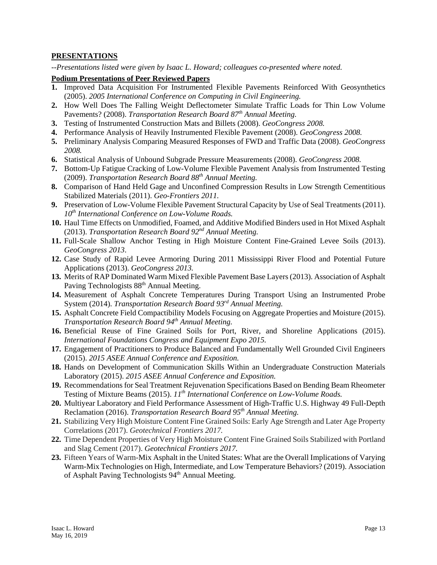### **PRESENTATIONS**

*--Presentations listed were given by Isaac L. Howard; colleagues co-presented where noted.*

## **Podium Presentations of Peer Reviewed Papers**

- **1.** Improved Data Acquisition For Instrumented Flexible Pavements Reinforced With Geosynthetics (2005). *2005 International Conference on Computing in Civil Engineering.*
- **2.** How Well Does The Falling Weight Deflectometer Simulate Traffic Loads for Thin Low Volume Pavements? (2008). *Transportation Research Board 87th Annual Meeting.*
- **3.** Testing of Instrumented Construction Mats and Billets (2008). *GeoCongress 2008.*
- **4.** Performance Analysis of Heavily Instrumented Flexible Pavement (2008). *GeoCongress 2008.*
- **5.** Preliminary Analysis Comparing Measured Responses of FWD and Traffic Data (2008). *GeoCongress 2008.*
- **6.** Statistical Analysis of Unbound Subgrade Pressure Measurements (2008). *GeoCongress 2008.*
- **7.** Bottom-Up Fatigue Cracking of Low-Volume Flexible Pavement Analysis from Instrumented Testing (2009). *Transportation Research Board 88th Annual Meeting.*
- **8.** Comparison of Hand Held Gage and Unconfined Compression Results in Low Strength Cementitious Stabilized Materials (2011). *Geo-Frontiers 2011.*
- **9.** Preservation of Low-Volume Flexible Pavement Structural Capacity by Use of Seal Treatments (2011). *10th International Conference on Low-Volume Roads.*
- **10.** Haul Time Effects on Unmodified, Foamed, and Additive Modified Binders used in Hot Mixed Asphalt (2013). *Transportation Research Board 92nd Annual Meeting.*
- **11.** Full-Scale Shallow Anchor Testing in High Moisture Content Fine-Grained Levee Soils (2013). *GeoCongress 2013*.
- **12.** Case Study of Rapid Levee Armoring During 2011 Mississippi River Flood and Potential Future Applications (2013). *GeoCongress 2013.*
- **13.** Merits of RAP Dominated Warm Mixed Flexible Pavement Base Layers (2013). Association of Asphalt Paving Technologists 88<sup>th</sup> Annual Meeting.
- **14.** Measurement of Asphalt Concrete Temperatures During Transport Using an Instrumented Probe System (2014). *Transportation Research Board 93rd Annual Meeting.*
- **15.** Asphalt Concrete Field Compactibility Models Focusing on Aggregate Properties and Moisture (2015). *Transportation Research Board 94th Annual Meeting.*
- **16.** Beneficial Reuse of Fine Grained Soils for Port, River, and Shoreline Applications (2015). *International Foundations Congress and Equipment Expo 2015.*
- **17.** Engagement of Practitioners to Produce Balanced and Fundamentally Well Grounded Civil Engineers (2015). *2015 ASEE Annual Conference and Exposition.*
- **18.** Hands on Development of Communication Skills Within an Undergraduate Construction Materials Laboratory (2015). *2015 ASEE Annual Conference and Exposition.*
- **19.** Recommendations for Seal Treatment Rejuvenation Specifications Based on Bending Beam Rheometer Testing of Mixture Beams (2015). *11th International Conference on Low-Volume Roads.*
- **20.** Multiyear Laboratory and Field Performance Assessment of High-Traffic U.S. Highway 49 Full-Depth Reclamation (2016). *Transportation Research Board 95th Annual Meeting.*
- **21.** Stabilizing Very High Moisture Content Fine Grained Soils: Early Age Strength and Later Age Property Correlations (2017). *Geotechnical Frontiers 2017.*
- **22.** Time Dependent Properties of Very High Moisture Content Fine Grained Soils Stabilized with Portland and Slag Cement (2017). *Geotechnical Frontiers 2017.*
- **23.** Fifteen Years of Warm-Mix Asphalt in the United States: What are the Overall Implications of Varying Warm-Mix Technologies on High, Intermediate, and Low Temperature Behaviors? (2019). Association of Asphalt Paving Technologists 94<sup>th</sup> Annual Meeting.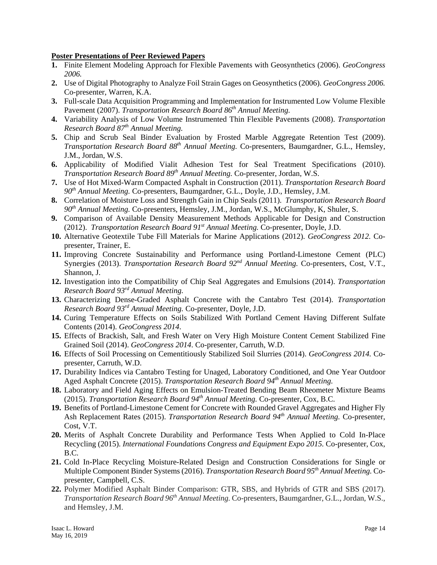### **Poster Presentations of Peer Reviewed Papers**

- **1.** Finite Element Modeling Approach for Flexible Pavements with Geosynthetics (2006). *GeoCongress 2006.*
- **2.** Use of Digital Photography to Analyze Foil Strain Gages on Geosynthetics (2006). *GeoCongress 2006.* Co-presenter, Warren, K.A.
- **3.** Full-scale Data Acquisition Programming and Implementation for Instrumented Low Volume Flexible Pavement (2007). *Transportation Research Board 86th Annual Meeting.*
- **4.** Variability Analysis of Low Volume Instrumented Thin Flexible Pavements (2008). *Transportation Research Board 87th Annual Meeting.*
- **5.** Chip and Scrub Seal Binder Evaluation by Frosted Marble Aggregate Retention Test (2009). *Transportation Research Board 88th Annual Meeting.* Co-presenters, Baumgardner, G.L., Hemsley, J.M., Jordan, W.S.
- **6.** Applicability of Modified Vialit Adhesion Test for Seal Treatment Specifications (2010). *Transportation Research Board 89th Annual Meeting.* Co-presenter, Jordan, W.S.
- **7.** Use of Hot Mixed-Warm Compacted Asphalt in Construction (2011). *Transportation Research Board 90th Annual Meeting.* Co-presenters, Baumgardner, G.L., Doyle, J.D., Hemsley, J.M.
- **8.** Correlation of Moisture Loss and Strength Gain in Chip Seals (2011). *Transportation Research Board 90th Annual Meeting.* Co-presenters, Hemsley, J.M., Jordan, W.S., McGlumphy, K, Shuler, S.
- **9.** Comparison of Available Density Measurement Methods Applicable for Design and Construction (2012). *Transportation Research Board 91st Annual Meeting.* Co-presenter, Doyle, J.D.
- **10.** Alternative Geotextile Tube Fill Materials for Marine Applications (2012). *GeoCongress 2012.* Copresenter, Trainer, E.
- **11.** Improving Concrete Sustainability and Performance using Portland-Limestone Cement (PLC) Synergies (2013). *Transportation Research Board 92nd Annual Meeting.* Co-presenters, Cost, V.T., Shannon, J.
- **12.** Investigation into the Compatibility of Chip Seal Aggregates and Emulsions (2014). *Transportation Research Board 93rd Annual Meeting.*
- **13.** Characterizing Dense-Graded Asphalt Concrete with the Cantabro Test (2014). *Transportation Research Board 93rd Annual Meeting.* Co-presenter, Doyle, J.D.
- **14.** Curing Temperature Effects on Soils Stabilized With Portland Cement Having Different Sulfate Contents (2014). *GeoCongress 2014*.
- **15.** Effects of Brackish, Salt, and Fresh Water on Very High Moisture Content Cement Stabilized Fine Grained Soil (2014). *GeoCongress 2014*. Co-presenter, Carruth, W.D.
- **16.** Effects of Soil Processing on Cementitiously Stabilized Soil Slurries (2014). *GeoCongress 2014.* Copresenter, Carruth, W.D.
- **17.** Durability Indices via Cantabro Testing for Unaged, Laboratory Conditioned, and One Year Outdoor Aged Asphalt Concrete (2015). *Transportation Research Board 94th Annual Meeting.*
- **18.** Laboratory and Field Aging Effects on Emulsion-Treated Bending Beam Rheometer Mixture Beams (2015). *Transportation Research Board 94th Annual Meeting.* Co-presenter, Cox, B.C.
- **19.** Benefits of Portland-Limestone Cement for Concrete with Rounded Gravel Aggregates and Higher Fly Ash Replacement Rates (2015). *Transportation Research Board 94th Annual Meeting.* Co-presenter, Cost, V.T.
- **20.** Merits of Asphalt Concrete Durability and Performance Tests When Applied to Cold In-Place Recycling (2015). *International Foundations Congress and Equipment Expo 2015.* Co-presenter, Cox, B.C.
- **21.** Cold In-Place Recycling Moisture-Related Design and Construction Considerations for Single or Multiple Component Binder Systems (2016). *Transportation Research Board 95th Annual Meeting.* Copresenter, Campbell, C.S.
- **22.** Polymer Modified Asphalt Binder Comparison: GTR, SBS, and Hybrids of GTR and SBS (2017). *Transportation Research Board 96th Annual Meeting.* Co-presenters, Baumgardner, G.L., Jordan, W.S., and Hemsley, J.M.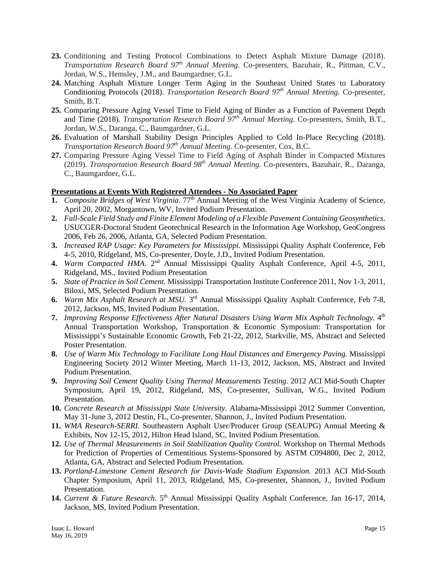- **23.** Conditioning and Testing Protocol Combinations to Detect Asphalt Mixture Damage (2018). *Transportation Research Board 97th Annual Meeting.* Co-presenters, Bazuhair, R., Pittman, C.V., Jordan, W.S., Hemsley, J.M., and Baumgardner, G.L.
- **24.** Matching Asphalt Mixture Longer Term Aging in the Southeast United States to Laboratory Conditioning Protocols (2018). *Transportation Research Board 97th Annual Meeting.* Co-presenter, Smith, B.T.
- **25.** Comparing Pressure Aging Vessel Time to Field Aging of Binder as a Function of Pavement Depth and Time (2018). *Transportation Research Board 97th Annual Meeting.* Co-presenters, Smith, B.T., Jordan, W.S., Daranga, C., Baumgardner, G.L.
- **26.** Evaluation of Marshall Stability Design Principles Applied to Cold In-Place Recycling (2018). *Transportation Research Board 97th Annual Meeting.* Co-presenter, Cox, B.C.
- **27.** Comparing Pressure Aging Vessel Time to Field Aging of Asphalt Binder in Compacted Mixtures (2019). *Transportation Research Board 98th Annual Meeting.* Co-presenters, Bazuhair, R., Daranga, C., Baumgardner, G.L.

### **Presentations at Events With Registered Attendees - No Associated Paper**

- **1.** *Composite Bridges of West Virginia.* 77<sup>th</sup> Annual Meeting of the West Virginia Academy of Science, April 20, 2002, Morgantown, WV, Invited Podium Presentation.
- **2.** *Full-Scale Field Study and Finite Element Modeling of a Flexible Pavement Containing Geosynthetics*. USUCGER-Doctoral Student Geotechnical Research in the Information Age Workshop, GeoCongress 2006, Feb 26, 2006, Atlanta, GA, Selected Podium Presentation.
- **3.** *Increased RAP Usage: Key Parameters for Mississippi.* Mississippi Quality Asphalt Conference, Feb 4-5, 2010, Ridgeland, MS, Co-presenter, Doyle, J.D., Invited Podium Presentation.
- 4. *Warm Compacted HMA*. 2<sup>nd</sup> Annual Mississippi Quality Asphalt Conference, April 4-5, 2011, Ridgeland, MS., Invited Podium Presentation
- **5.** *State of Practice in Soil Cement.* Mississippi Transportation Institute Conference 2011, Nov 1-3, 2011, Biloxi, MS, Selected Podium Presentation.
- **6.** *Warm Mix Asphalt Research at MSU.* 3rd Annual Mississippi Quality Asphalt Conference, Feb 7-8, 2012, Jackson, MS, Invited Podium Presentation.
- **7.** *Improving Response Effectiveness After Natural Disasters Using Warm Mix Asphalt Technology.* 4<sup>th</sup> Annual Transportation Workshop, Transportation & Economic Symposium: Transportation for Mississippi's Sustainable Economic Growth, Feb 21-22, 2012, Starkville, MS, Abstract and Selected Poster Presentation.
- **8.** *Use of Warm Mix Technology to Facilitate Long Haul Distances and Emergency Paving.* Mississippi Engineering Society 2012 Winter Meeting, March 11-13, 2012, Jackson, MS, Abstract and Invited Podium Presentation.
- **9.** *Improving Soil Cement Quality Using Thermal Measurements Testing.* 2012 ACI Mid-South Chapter Symposium, April 19, 2012, Ridgeland, MS, Co-presenter, Sullivan, W.G., Invited Podium Presentation.
- **10.** *Concrete Research at Mississippi State University.* Alabama-Mississippi 2012 Summer Convention, May 31-June 3, 2012 Destin, FL, Co-presenter, Shannon, J., Invited Podium Presentation.
- **11.** *WMA Research-SERRI.* Southeastern Asphalt User/Producer Group (SEAUPG) Annual Meeting & Exhibits, Nov 12-15, 2012, Hilton Head Island, SC, Invited Podium Presentation.
- **12.** *Use of Thermal Measurements in Soil Stabilization Quality Control.* Workshop on Thermal Methods for Prediction of Properties of Cementitious Systems-Sponsored by ASTM C094800, Dec 2, 2012, Atlanta, GA, Abstract and Selected Podium Presentation.
- **13.** *Portland-Limestone Cement Research for Davis-Wade Stadium Expansion.* 2013 ACI Mid-South Chapter Symposium, April 11, 2013, Ridgeland, MS, Co-presenter, Shannon, J., Invited Podium Presentation.
- 14. *Current & Future Research.* 5<sup>th</sup> Annual Mississippi Quality Asphalt Conference, Jan 16-17, 2014, Jackson, MS, Invited Podium Presentation.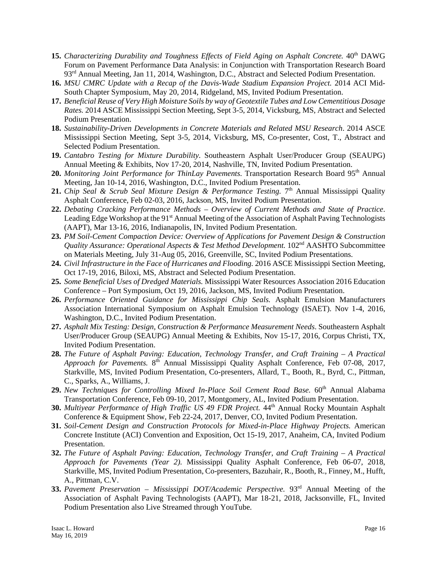- 15. *Characterizing Durability and Toughness Effects of Field Aging on Asphalt Concrete.* 40<sup>th</sup> DAWG Forum on Pavement Performance Data Analysis: in Conjunction with Transportation Research Board 93<sup>rd</sup> Annual Meeting, Jan 11, 2014, Washington, D.C., Abstract and Selected Podium Presentation.
- **16.** *MSU CMRC Update with a Recap of the Davis-Wade Stadium Expansion Project.* 2014 ACI Mid-South Chapter Symposium, May 20, 2014, Ridgeland, MS, Invited Podium Presentation.
- **17.** *Beneficial Reuse of Very High Moisture Soils by way of Geotextile Tubes and Low Cementitious Dosage Rates.* 2014 ASCE Mississippi Section Meeting, Sept 3-5, 2014, Vicksburg, MS, Abstract and Selected Podium Presentation.
- **18.** *Sustainability-Driven Developments in Concrete Materials and Related MSU Research*. 2014 ASCE Mississippi Section Meeting, Sept 3-5, 2014, Vicksburg, MS, Co-presenter, Cost, T., Abstract and Selected Podium Presentation.
- **19.** *Cantabro Testing for Mixture Durability*. Southeastern Asphalt User/Producer Group (SEAUPG) Annual Meeting & Exhibits, Nov 17-20, 2014, Nashville, TN, Invited Podium Presentation.
- **20.** *Monitoring Joint Performance for ThinLay Pavements*. Transportation Research Board 95th Annual Meeting, Jan 10-14, 2016, Washington, D.C., Invited Podium Presentation.
- 21. *Chip Seal & Scrub Seal Mixture Design & Performance Testing.* 7<sup>th</sup> Annual Mississippi Quality Asphalt Conference, Feb 02-03, 2016, Jackson, MS, Invited Podium Presentation.
- **22.** *Debating Cracking Performance Methods – Overview of Current Methods and State of Practice*. Leading Edge Workshop at the 91<sup>st</sup> Annual Meeting of the Association of Asphalt Paving Technologists (AAPT), Mar 13-16, 2016, Indianapolis, IN, Invited Podium Presentation.
- **23.** *PM Soil-Cement Compaction Device: Overview of Applications for Pavement Design & Construction Quality Assurance: Operational Aspects & Test Method Development.* 102nd AASHTO Subcommittee on Materials Meeting, July 31-Aug 05, 2016, Greenville, SC, Invited Podium Presentations.
- **24.** *Civil Infrastructure in the Face of Hurricanes and Flooding.* 2016 ASCE Mississippi Section Meeting, Oct 17-19, 2016, Biloxi, MS, Abstract and Selected Podium Presentation.
- **25.** *Some Beneficial Uses of Dredged Materials.* Mississippi Water Resources Association 2016 Education Conference – Port Symposium, Oct 19, 2016, Jackson, MS, Invited Podium Presentation.
- **26.** *Performance Oriented Guidance for Mississippi Chip Seals.* Asphalt Emulsion Manufacturers Association International Symposium on Asphalt Emulsion Technology (ISAET). Nov 1-4, 2016, Washington, D.C., Invited Podium Presentation.
- **27.** *Asphalt Mix Testing: Design, Construction & Performance Measurement Needs*. Southeastern Asphalt User/Producer Group (SEAUPG) Annual Meeting & Exhibits, Nov 15-17, 2016, Corpus Christi, TX, Invited Podium Presentation.
- **28.** *The Future of Asphalt Paving: Education, Technology Transfer, and Craft Training – A Practical Approach for Pavements.* 8th Annual Mississippi Quality Asphalt Conference, Feb 07-08, 2017, Starkville, MS, Invited Podium Presentation, Co-presenters, Allard, T., Booth, R., Byrd, C., Pittman, C., Sparks, A., Williams, J.
- 29. New Techniques for Controlling Mixed In-Place Soil Cement Road Base. 60<sup>th</sup> Annual Alabama Transportation Conference, Feb 09-10, 2017, Montgomery, AL, Invited Podium Presentation.
- **30.** *Multiyear Performance of High Traffic US 49 FDR Project.* 44<sup>th</sup> Annual Rocky Mountain Asphalt Conference & Equipment Show, Feb 22-24, 2017, Denver, CO, Invited Podium Presentation.
- **31.** *Soil-Cement Design and Construction Protocols for Mixed-in-Place Highway Projects.* American Concrete Institute (ACI) Convention and Exposition, Oct 15-19, 2017, Anaheim, CA, Invited Podium Presentation.
- **32.** *The Future of Asphalt Paving: Education, Technology Transfer, and Craft Training – A Practical Approach for Pavements (Year 2).* Mississippi Quality Asphalt Conference, Feb 06-07, 2018, Starkville, MS, Invited Podium Presentation, Co-presenters, Bazuhair, R., Booth, R., Finney, M., Hufft, A., Pittman, C.V.
- **33.** *Pavement Preservation – Mississippi DOT/Academic Perspective.* 93rd Annual Meeting of the Association of Asphalt Paving Technologists (AAPT), Mar 18-21, 2018, Jacksonville, FL, Invited Podium Presentation also Live Streamed through YouTube.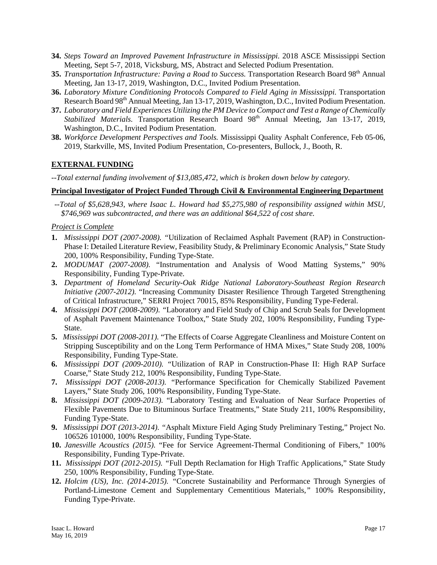- **34.** *Steps Toward an Improved Pavement Infrastructure in Mississippi.* 2018 ASCE Mississippi Section Meeting, Sept 5-7, 2018, Vicksburg, MS, Abstract and Selected Podium Presentation.
- **35.** *Transportation Infrastructure: Paving a Road to Success.* Transportation Research Board 98<sup>th</sup> Annual Meeting, Jan 13-17, 2019, Washington, D.C., Invited Podium Presentation.
- **36.** *Laboratory Mixture Conditioning Protocols Compared to Field Aging in Mississippi.* Transportation Research Board 98<sup>th</sup> Annual Meeting, Jan 13-17, 2019, Washington, D.C., Invited Podium Presentation.
- **37.** *Laboratory and Field Experiences Utilizing the PM Device to Compact and Test a Range of Chemically*  Stabilized Materials. Transportation Research Board 98<sup>th</sup> Annual Meeting, Jan 13-17, 2019, Washington, D.C., Invited Podium Presentation.
- **38.** *Workforce Development Perspectives and Tools.* Mississippi Quality Asphalt Conference, Feb 05-06, 2019, Starkville, MS, Invited Podium Presentation, Co-presenters, Bullock, J., Booth, R.

# **EXTERNAL FUNDING**

*--Total external funding involvement of \$13,085,472, which is broken down below by category.*

### **Principal Investigator of Project Funded Through Civil & Environmental Engineering Department**

*--Total of \$5,628,943, where Isaac L. Howard had \$5,275,980 of responsibility assigned within MSU, \$746,969 was subcontracted, and there was an additional \$64,522 of cost share.*

### *Project is Complete*

- **1.** *Mississippi DOT (2007-2008). "*Utilization of Reclaimed Asphalt Pavement (RAP) in Construction-Phase I: Detailed Literature Review, Feasibility Study, & Preliminary Economic Analysis," State Study 200, 100% Responsibility, Funding Type-State.
- **2.** *MODUMAT (2007-2008).* "Instrumentation and Analysis of Wood Matting Systems," 90% Responsibility, Funding Type-Private.
- **3.** *Department of Homeland Security-Oak Ridge National Laboratory-Southeast Region Research Initiative (2007-2012).* "Increasing Community Disaster Resilience Through Targeted Strengthening of Critical Infrastructure," SERRI Project 70015, 85% Responsibility, Funding Type-Federal.
- **4.** *Mississippi DOT (2008-2009). "*Laboratory and Field Study of Chip and Scrub Seals for Development of Asphalt Pavement Maintenance Toolbox," State Study 202, 100% Responsibility, Funding Type-State.
- **5.** *Mississippi DOT (2008-2011).* "The Effects of Coarse Aggregate Cleanliness and Moisture Content on Stripping Susceptibility and on the Long Term Performance of HMA Mixes," State Study 208, 100% Responsibility, Funding Type-State.
- **6.** *Mississippi DOT (2009-2010). "*Utilization of RAP in Construction-Phase II: High RAP Surface Coarse," State Study 212, 100% Responsibility, Funding Type-State.
- **7.** *Mississippi DOT (2008-2013). "*Performance Specification for Chemically Stabilized Pavement Layers," State Study 206, 100% Responsibility, Funding Type-State.
- **8.** *Mississippi DOT (2009-2013).* "Laboratory Testing and Evaluation of Near Surface Properties of Flexible Pavements Due to Bituminous Surface Treatments," State Study 211, 100% Responsibility, Funding Type-State.
- **9.** *Mississippi DOT (2013-2014). "*Asphalt Mixture Field Aging Study Preliminary Testing," Project No. 106526 101000, 100% Responsibility, Funding Type-State.
- **10.** *Janesville Acoustics (2015).* "Fee for Service Agreement-Thermal Conditioning of Fibers," 100% Responsibility, Funding Type-Private.
- **11.** *Mississippi DOT (2012-2015). "*Full Depth Reclamation for High Traffic Applications," State Study 250, 100% Responsibility, Funding Type-State.
- **12.** *Holcim (US), Inc. (2014-2015). "*Concrete Sustainability and Performance Through Synergies of Portland-Limestone Cement and Supplementary Cementitious Materials*,"* 100% Responsibility, Funding Type-Private.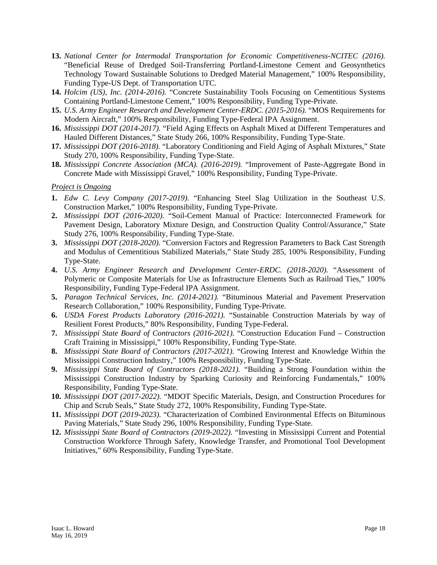- **13.** *National Center for Intermodal Transportation for Economic Competitiveness-NCITEC (2016).* "Beneficial Reuse of Dredged Soil-Transferring Portland-Limestone Cement and Geosynthetics Technology Toward Sustainable Solutions to Dredged Material Management," 100% Responsibility, Funding Type-US Dept. of Transportation UTC.
- **14.** *Holcim (US), Inc. (2014-2016).* "Concrete Sustainability Tools Focusing on Cementitious Systems Containing Portland-Limestone Cement," 100% Responsibility, Funding Type-Private.
- **15.** *U.S. Army Engineer Research and Development Center-ERDC. (2015-2016).* "MOS Requirements for Modern Aircraft," 100% Responsibility, Funding Type-Federal IPA Assignment.
- **16.** *Mississippi DOT (2014-2017).* "Field Aging Effects on Asphalt Mixed at Different Temperatures and Hauled Different Distances," State Study 266, 100% Responsibility, Funding Type-State.
- **17.** *Mississippi DOT (2016-2018).* "Laboratory Conditioning and Field Aging of Asphalt Mixtures," State Study 270, 100% Responsibility, Funding Type-State.
- **18.** *Mississippi Concrete Association (MCA). (2016-2019).* "Improvement of Paste-Aggregate Bond in Concrete Made with Mississippi Gravel," 100% Responsibility, Funding Type-Private.

#### *Project is Ongoing*

- **1.** *Edw C. Levy Company (2017-2019).* "Enhancing Steel Slag Utilization in the Southeast U.S. Construction Market," 100% Responsibility, Funding Type-Private.
- **2.** *Mississippi DOT (2016-2020).* "Soil-Cement Manual of Practice: Interconnected Framework for Pavement Design, Laboratory Mixture Design, and Construction Quality Control/Assurance," State Study 276, 100% Responsibility, Funding Type-State.
- **3.** *Mississippi DOT (2018-2020).* "Conversion Factors and Regression Parameters to Back Cast Strength and Modulus of Cementitious Stabilized Materials," State Study 285, 100% Responsibility, Funding Type-State.
- **4.** *U.S. Army Engineer Research and Development Center-ERDC. (2018-2020).* "Assessment of Polymeric or Composite Materials for Use as Infrastructure Elements Such as Railroad Ties," 100% Responsibility, Funding Type-Federal IPA Assignment.
- **5.** *Paragon Technical Services, Inc. (2014-2021).* "Bituminous Material and Pavement Preservation Research Collaboration," 100% Responsibility, Funding Type-Private.
- **6.** *USDA Forest Products Laboratory (2016-2021).* "Sustainable Construction Materials by way of Resilient Forest Products," 80% Responsibility, Funding Type-Federal.
- **7.** *Mississippi State Board of Contractors (2016-2021).* "Construction Education Fund Construction Craft Training in Mississippi," 100% Responsibility, Funding Type-State.
- **8.** *Mississippi State Board of Contractors (2017-2021).* "Growing Interest and Knowledge Within the Mississippi Construction Industry," 100% Responsibility, Funding Type-State.
- **9.** *Mississippi State Board of Contractors (2018-2021).* "Building a Strong Foundation within the Mississippi Construction Industry by Sparking Curiosity and Reinforcing Fundamentals," 100% Responsibility, Funding Type-State.
- **10.** *Mississippi DOT (2017-2022).* "MDOT Specific Materials, Design, and Construction Procedures for Chip and Scrub Seals," State Study 272, 100% Responsibility, Funding Type-State.
- **11.** *Mississippi DOT (2019-2023).* "Characterization of Combined Environmental Effects on Bituminous Paving Materials," State Study 296, 100% Responsibility, Funding Type-State.
- **12.** *Mississippi State Board of Contractors (2019-2022).* "Investing in Mississippi Current and Potential Construction Workforce Through Safety, Knowledge Transfer, and Promotional Tool Development Initiatives," 60% Responsibility, Funding Type-State.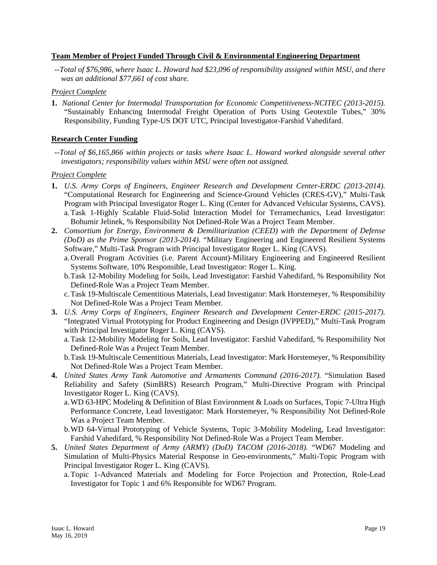#### **Team Member of Project Funded Through Civil & Environmental Engineering Department**

*--Total of \$76,986, where Isaac L. Howard had \$23,096 of responsibility assigned within MSU, and there was an additional \$77,661 of cost share.*

#### *Project Complete*

**1.** *National Center for Intermodal Transportation for Economic Competitiveness-NCITEC (2013-2015).*  "Sustainably Enhancing Intermodal Freight Operation of Ports Using Geotextile Tubes," 30% Responsibility, Funding Type-US DOT UTC, Principal Investigator-Farshid Vahedifard.

### **Research Center Funding**

*--Total of \$6,165,866 within projects or tasks where Isaac L. Howard worked alongside several other investigators; responsibility values within MSU were often not assigned.*

#### *Project Complete*

- **1.** *U.S. Army Corps of Engineers, Engineer Research and Development Center-ERDC (2013-2014).*  "Computational Research for Engineering and Science-Ground Vehicles (CRES-GV)," Multi-Task Program with Principal Investigator Roger L. King (Center for Advanced Vehicular Systems, CAVS). a.Task 1-Highly Scalable Fluid-Solid Interaction Model for Terramechanics, Lead Investigator:
- Bohumir Jelinek, % Responsibility Not Defined-Role Was a Project Team Member. **2.** *Consortium for Energy, Environment & Demilitarization (CEED) with the Department of Defense (DoD) as the Prime Sponsor (2013-2014).* "Military Engineering and Engineered Resilient Systems Software," Multi-Task Program with Principal Investigator Roger L. King (CAVS).
	- a.Overall Program Activities (i.e. Parent Account)-Military Engineering and Engineered Resilient Systems Software, 10% Responsible, Lead Investigator: Roger L. King.
	- b.Task 12-Mobility Modeling for Soils, Lead Investigator: Farshid Vahedifard, % Responsibility Not Defined-Role Was a Project Team Member.
	- c.Task 19-Multiscale Cementitious Materials, Lead Investigator: Mark Horstemeyer, % Responsibility Not Defined-Role Was a Project Team Member.
- **3.** *U.S. Army Corps of Engineers, Engineer Research and Development Center-ERDC (2015-2017).*  "Integrated Virtual Prototyping for Product Engineering and Design (IVPPED)," Multi-Task Program with Principal Investigator Roger L. King (CAVS).
	- a.Task 12-Mobility Modeling for Soils, Lead Investigator: Farshid Vahedifard, % Responsibility Not Defined-Role Was a Project Team Member.
	- b.Task 19-Multiscale Cementitious Materials, Lead Investigator: Mark Horstemeyer, % Responsibility Not Defined-Role Was a Project Team Member.
- **4.** *United States Army Tank Automotive and Armaments Command (2016-2017).* "Simulation Based Reliability and Safety (SimBRS) Research Program," Multi-Directive Program with Principal Investigator Roger L. King (CAVS).
	- a.WD 63-HPC Modeling & Definition of Blast Environment & Loads on Surfaces, Topic 7-Ultra High Performance Concrete, Lead Investigator: Mark Horstemeyer, % Responsibility Not Defined-Role Was a Project Team Member.
	- b.WD 64-Virtual Prototyping of Vehicle Systems, Topic 3-Mobility Modeling, Lead Investigator: Farshid Vahedifard, % Responsibility Not Defined-Role Was a Project Team Member.
- **5.** *United States Department of Army (ARMY) (DoD) TACOM (2016-2018).* "WD67 Modeling and Simulation of Multi-Physics Material Response in Geo-environments," Multi-Topic Program with Principal Investigator Roger L. King (CAVS).
	- a.Topic 1-Advanced Materials and Modeling for Force Projection and Protection, Role-Lead Investigator for Topic 1 and 6% Responsible for WD67 Program.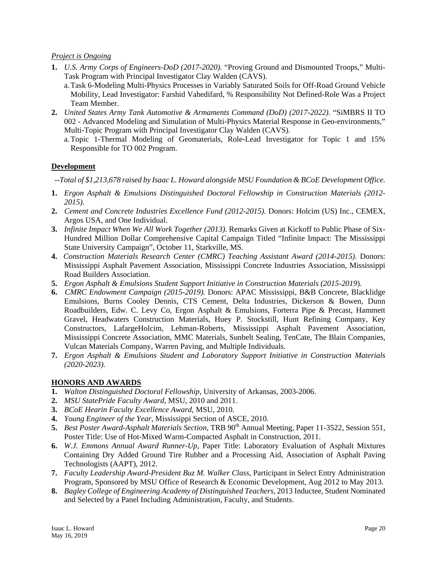### *Project is Ongoing*

- **1.** *U.S. Army Corps of Engineers-DoD (2017-2020).* "Proving Ground and Dismounted Troops," Multi-Task Program with Principal Investigator Clay Walden (CAVS).
	- a.Task 6-Modeling Multi-Physics Processes in Variably Saturated Soils for Off-Road Ground Vehicle Mobility, Lead Investigator: Farshid Vahedifard, % Responsibility Not Defined-Role Was a Project Team Member.
- **2.** *United States Army Tank Automotive & Armaments Command (DoD) (2017-2022).* "SiMBRS II TO 002 - Advanced Modeling and Simulation of Multi-Physics Material Response in Geo-environments," Multi-Topic Program with Principal Investigator Clay Walden (CAVS).
	- a.Topic 1-Thermal Modeling of Geomaterials, Role-Lead Investigator for Topic 1 and 15% Responsible for TO 002 Program.

# **Development**

*--Total of \$1,213,678 raised by Isaac L. Howard alongside MSU Foundation & BCoE Development Office.*

- **1.** *Ergon Asphalt & Emulsions Distinguished Doctoral Fellowship in Construction Materials (2012- 2015).*
- **2.** *Cement and Concrete Industries Excellence Fund (2012-2015).* Donors: Holcim (US) Inc., CEMEX, Argos USA, and One Individual.
- **3.** *Infinite Impact When We All Work Together (2013).* Remarks Given at Kickoff to Public Phase of Six-Hundred Million Dollar Comprehensive Capital Campaign Titled "Infinite Impact: The Mississippi State University Campaign", October 11, Starkville, MS.
- **4.** *Construction Materials Research Center (CMRC) Teaching Assistant Award (2014-2015).* Donors: Mississippi Asphalt Pavement Association, Mississippi Concrete Industries Association, Mississippi Road Builders Association.
- **5.** *Ergon Asphalt & Emulsions Student Support Initiative in Construction Materials (2015-2019*).
- **6.** *CMRC Endowment Campaign (2015-2019).* Donors: APAC Mississippi, B&B Concrete, Blacklidge Emulsions, Burns Cooley Dennis, CTS Cement, Delta Industries, Dickerson & Bowen, Dunn Roadbuilders, Edw. C. Levy Co, Ergon Asphalt & Emulsions, Forterra Pipe & Precast, Hammett Gravel, Headwaters Construction Materials, Huey P. Stockstill, Hunt Refining Company, Key Constructors, LafargeHolcim, Lehman-Roberts, Mississippi Asphalt Pavement Association, Mississippi Concrete Association, MMC Materials, Sunbelt Sealing, TenCate, The Blain Companies, Vulcan Materials Company, Warren Paving, and Multiple Individuals.
- **7.** *Ergon Asphalt & Emulsions Student and Laboratory Support Initiative in Construction Materials (2020-2023).*

# **HONORS AND AWARDS**

- **1.** *Walton Distinguished Doctoral Fellowship*, University of Arkansas, 2003-2006.
- **2.** *MSU StatePride Faculty Award*, MSU, 2010 and 2011.
- **3.** *BCoE Hearin Faculty Excellence Award*, MSU, 2010.
- **4.** *Young Engineer of the Year*, Mississippi Section of ASCE, 2010.
- 5. *Best Poster Award-Asphalt Materials Section*, TRB 90<sup>th</sup> Annual Meeting, Paper 11-3522, Session 551, Poster Title: Use of Hot-Mixed Warm-Compacted Asphalt in Construction, 2011.
- **6.** *W.J. Emmons Annual Award Runner-Up*, Paper Title: Laboratory Evaluation of Asphalt Mixtures Containing Dry Added Ground Tire Rubber and a Processing Aid, Association of Asphalt Paving Technologists (AAPT), 2012.
- **7.** *Faculty Leadership Award-President Buz M. Walker Class*, Participant in Select Entry Administration Program, Sponsored by MSU Office of Research & Economic Development, Aug 2012 to May 2013.
- **8.** *Bagley College of Engineering Academy of Distinguished Teachers*, 2013 Inductee, Student Nominated and Selected by a Panel Including Administration, Faculty, and Students.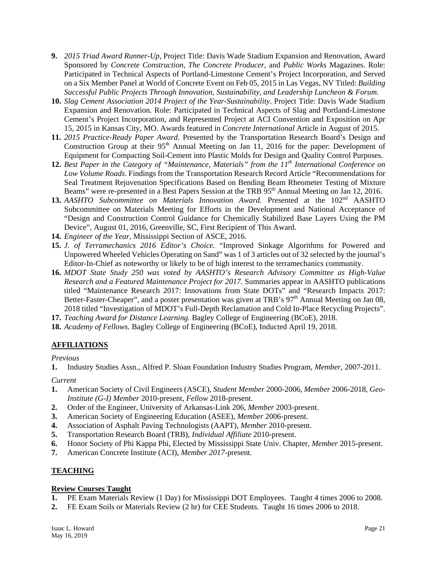- **9.** *2015 Triad Award Runner-Up*, Project Title: Davis Wade Stadium Expansion and Renovation, Award Sponsored by *Concrete Construction, The Concrete Producer,* and *Public Works* Magazines. Role: Participated in Technical Aspects of Portland-Limestone Cement's Project Incorporation, and Served on a Six Member Panel at World of Concrete Event on Feb 05, 2015 in Las Vegas, NV Titled: *Building Successful Public Projects Through Innovation, Sustainability, and Leadership Luncheon & Forum*.
- **10.** *Slag Cement Association 2014 Project of the Year-Sustainability*. Project Title: Davis Wade Stadium Expansion and Renovation. Role: Participated in Technical Aspects of Slag and Portland-Limestone Cement's Project Incorporation, and Represented Project at ACI Convention and Exposition on Apr 15, 2015 in Kansas City, MO. Awards featured in *Concrete International* Article in August of 2015.
- **11.** *2015 Practice-Ready Paper Award*. Presented by the Transportation Research Board's Design and Construction Group at their  $95<sup>th</sup>$  Annual Meeting on Jan 11, 2016 for the paper: Development of Equipment for Compacting Soil-Cement into Plastic Molds for Design and Quality Control Purposes.
- **12.** *Best Paper in the Category of "Maintenance, Materials" from the 11th International Conference on Low Volume Roads*. Findings from the Transportation Research Record Article "Recommendations for Seal Treatment Rejuvenation Specifications Based on Bending Beam Rheometer Testing of Mixture Beams" were re-presented in a Best Papers Session at the TRB 95<sup>th</sup> Annual Meeting on Jan 12, 2016.
- 13. AASHTO Subcommittee on Materials Innovation Award. Presented at the 102<sup>nd</sup> AASHTO Subcommittee on Materials Meeting for Efforts in the Development and National Acceptance of "Design and Construction Control Guidance for Chemically Stabilized Base Layers Using the PM Device", August 01, 2016, Greenville, SC, First Recipient of This Award.
- **14.** *Engineer of the Year*, Mississippi Section of ASCE, 2016.
- **15.** *J. of Terramechanics 2016 Editor's Choice.* "Improved Sinkage Algorithms for Powered and Unpowered Wheeled Vehicles Operating on Sand" was 1 of 3 articles out of 32 selected by the journal's Editor-In-Chief as noteworthy or likely to be of high interest to the terramechanics community.
- **16.** *MDOT State Study 250 was voted by AASHTO's Research Advisory Committee as High-Value Research and a Featured Maintenance Project for 2017.* Summaries appear in AASHTO publications titled "Maintenance Research 2017: Innovations from State DOTs" and "Research Impacts 2017: Better-Faster-Cheaper", and a poster presentation was given at TRB's  $97<sup>th</sup>$  Annual Meeting on Jan 08, 2018 titled "Investigation of MDOT's Full-Depth Reclamation and Cold In-Place Recycling Projects".
- **17.** *Teaching Award for Distance Learning.* Bagley College of Engineering (BCoE), 2018.
- **18.** *Academy of Fellows.* Bagley College of Engineering (BCoE), Inducted April 19, 2018.

# **AFFILIATIONS**

### *Previous*

**1.** Industry Studies Assn., Alfred P. Sloan Foundation Industry Studies Program, *Member,* 2007-2011.

### *Current*

- **1.** American Society of Civil Engineers (ASCE), *Student Member* 2000-2006, *Member* 2006-2018, *Geo-Institute (G-I) Member* 2010-present, *Fellow* 2018-present.
- **2.** Order of the Engineer, University of Arkansas-Link 206, *Member* 2003-present.
- **3.** American Society of Engineering Education (ASEE), *Member* 2006-present.
- **4.** Association of Asphalt Paving Technologists (AAPT), *Member* 2010-present.
- **5.** Transportation Research Board (TRB), *Individual Affiliate* 2010-present.
- **6.** Honor Society of Phi Kappa Phi, Elected by Mississippi State Univ. Chapter, *Member* 2015-present.
- **7.** American Concrete Institute (ACI), *Member 2017*-present*.*

# **TEACHING**

### **Review Courses Taught**

- **1.** PE Exam Materials Review (1 Day) for Mississippi DOT Employees. Taught 4 times 2006 to 2008.
- **2.** FE Exam Soils or Materials Review (2 hr) for CEE Students. Taught 16 times 2006 to 2018.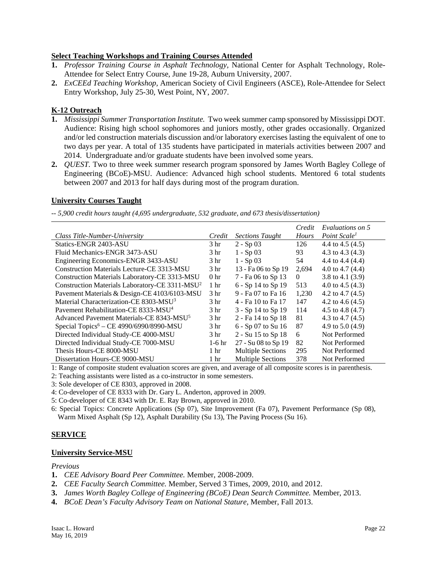### **Select Teaching Workshops and Training Courses Attended**

- **1.** *Professor Training Course in Asphalt Technology,* National Center for Asphalt Technology, Role-Attendee for Select Entry Course, June 19-28, Auburn University, 2007.
- **2.** *ExCEEd Teaching Workshop,* American Society of Civil Engineers (ASCE), Role-Attendee for Select Entry Workshop, July 25-30, West Point, NY, 2007.

### **K-12 Outreach**

- **1.** *Mississippi Summer Transportation Institute.* Two week summer camp sponsored by Mississippi DOT. Audience: Rising high school sophomores and juniors mostly, other grades occasionally. Organized and/or led construction materials discussion and/or laboratory exercises lasting the equivalent of one to two days per year. A total of 135 students have participated in materials activities between 2007 and 2014. Undergraduate and/or graduate students have been involved some years.
- **2.** *QUEST.* Two to three week summer research program sponsored by James Worth Bagley College of Engineering (BCoE)-MSU. Audience: Advanced high school students. Mentored 6 total students between 2007 and 2013 for half days during most of the program duration.

### **University Courses Taught**

*-- 5,900 credit hours taught (4,695 undergraduate, 532 graduate, and 673 thesis/dissertation)*

|                                                            |                 |                          | Credit   | Evaluations on 5         |
|------------------------------------------------------------|-----------------|--------------------------|----------|--------------------------|
| Class Title-Number-University                              | Credit          | <b>Sections Taught</b>   | Hours    | Point Scale <sup>1</sup> |
| Statics-ENGR 2403-ASU                                      | 3 hr            | $2 - Sp(03)$             | 126      | 4.4 to 4.5 $(4.5)$       |
| Fluid Mechanics-ENGR 3473-ASU                              | 3 <sub>hr</sub> | $1 - Sp(03)$             | 93       | 4.3 to 4.3 $(4.3)$       |
| Engineering Economics-ENGR 3433-ASU                        | 3 <sub>hr</sub> | $1 - Sp03$               | 54       | 4.4 to 4.4 $(4.4)$       |
| Construction Materials Lecture-CE 3313-MSU                 | 3 <sub>hr</sub> | 13 - Fa 06 to Sp 19      | 2,694    | 4.0 to 4.7 $(4.4)$       |
| Construction Materials Laboratory-CE 3313-MSU              | 0 <sub>hr</sub> | 7 - Fa 06 to Sp 13       | $\theta$ | 3.8 to 4.1 $(3.9)$       |
| Construction Materials Laboratory-CE 3311-MSU <sup>2</sup> | 1 <sub>hr</sub> | 6 - Sp 14 to Sp 19       | 513      | 4.0 to 4.5 $(4.3)$       |
| Pavement Materials & Design-CE 4103/6103-MSU               | 3 <sub>hr</sub> | 9 - Fa 07 to Fa 16       | 1,230    | 4.2 to 4.7 $(4.5)$       |
| Material Characterization-CE 8303-MSU <sup>3</sup>         | 3 <sup>hr</sup> | 4 - Fa 10 to Fa 17       | 147      | 4.2 to 4.6 $(4.5)$       |
| Payement Rehabilitation-CE 8333-MSU <sup>4</sup>           | 3 <sub>hr</sub> | $3 - Sp 14$ to Sp 19     | 114      | 4.5 to 4.8 $(4.7)$       |
| Advanced Pavement Materials-CE 8343-MSU <sup>5</sup>       | 3 <sup>hr</sup> | 2 - Fa 14 to Sp 18       | 81       | 4.3 to 4.7 $(4.5)$       |
| Special Topics <sup>6</sup> – CE 4990/6990/8990-MSU        | 3 <sup>hr</sup> | 6 - Sp 07 to Su 16       | 87       | 4.9 to $5.0(4.9)$        |
| Directed Individual Study-CE 4000-MSU                      | 3 <sub>hr</sub> | 2 - Su 15 to Sp 18       | 6        | Not Performed            |
| Directed Individual Study-CE 7000-MSU                      | $1-6$ hr        | 27 - Su 08 to Sp 19      | 82       | Not Performed            |
| Thesis Hours-CE 8000-MSU                                   | 1 <sup>hr</sup> | <b>Multiple Sections</b> | 295      | Not Performed            |
| Dissertation Hours-CE 9000-MSU                             | 1 <sub>hr</sub> | <b>Multiple Sections</b> | 378      | Not Performed            |

1: Range of composite student evaluation scores are given, and average of all composite scores is in parenthesis.

2: Teaching assistants were listed as a co-instructor in some semesters.

3: Sole developer of CE 8303, approved in 2008.

4: Co-developer of CE 8333 with Dr. Gary L. Anderton, approved in 2009.

- 5: Co-developer of CE 8343 with Dr. E. Ray Brown, approved in 2010.
- 6: Special Topics: Concrete Applications (Sp 07), Site Improvement (Fa 07), Pavement Performance (Sp 08), Warm Mixed Asphalt (Sp 12), Asphalt Durability (Su 13), The Paving Process (Su 16).

### **SERVICE**

#### **University Service-MSU**

#### *Previous*

- **1.** *CEE Advisory Board Peer Committee.* Member, 2008-2009.
- **2.** *CEE Faculty Search Committee.* Member, Served 3 Times, 2009, 2010, and 2012.
- **3.** *James Worth Bagley College of Engineering (BCoE) Dean Search Committee.* Member, 2013.
- **4.** *BCoE Dean's Faculty Advisory Team on National Stature,* Member, Fall 2013.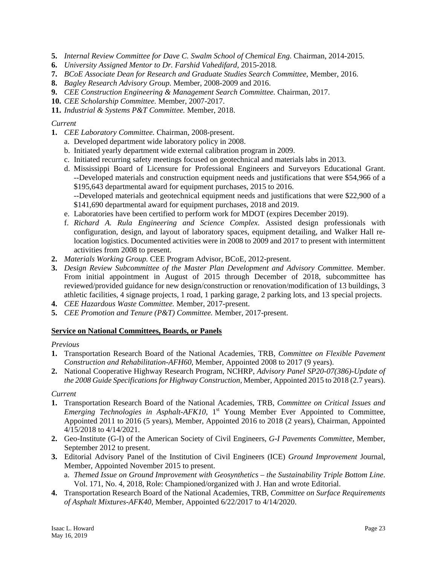- **5.** *Internal Review Committee for Dave C. Swalm School of Chemical Eng.* Chairman, 2014-2015.
- **6.** *University Assigned Mentor to Dr. Farshid Vahedifard,* 2015-2018*.*
- **7.** *BCoE Associate Dean for Research and Graduate Studies Search Committee,* Member, 2016.
- **8.** *Bagley Research Advisory Group.* Member, 2008-2009 and 2016.
- **9.** *CEE Construction Engineering & Management Search Committee.* Chairman, 2017.
- **10.** *CEE Scholarship Committee.* Member, 2007-2017.
- **11.** *Industrial & Systems P&T Committee.* Member, 2018.

### *Current*

- **1.** *CEE Laboratory Committee.* Chairman, 2008-present.
	- a. Developed department wide laboratory policy in 2008.
	- b. Initiated yearly department wide external calibration program in 2009.
	- c. Initiated recurring safety meetings focused on geotechnical and materials labs in 2013.
	- d. Mississippi Board of Licensure for Professional Engineers and Surveyors Educational Grant. --Developed materials and construction equipment needs and justifications that were \$54,966 of a \$195,643 departmental award for equipment purchases, 2015 to 2016.
		- --Developed materials and geotechnical equipment needs and justifications that were \$22,900 of a \$141,690 departmental award for equipment purchases, 2018 and 2019.
	- e. Laboratories have been certified to perform work for MDOT (expires December 2019).
	- f. *Richard A. Rula Engineering and Science Complex*. Assisted design professionals with configuration, design, and layout of laboratory spaces, equipment detailing, and Walker Hall relocation logistics. Documented activities were in 2008 to 2009 and 2017 to present with intermittent activities from 2008 to present.
- **2.** *Materials Working Group.* CEE Program Advisor, BCoE, 2012-present.
- **3.** *Design Review Subcommittee of the Master Plan Development and Advisory Committee.* Member. From initial appointment in August of 2015 through December of 2018, subcommittee has reviewed/provided guidance for new design/construction or renovation/modification of 13 buildings, 3 athletic facilities, 4 signage projects, 1 road, 1 parking garage, 2 parking lots, and 13 special projects.
- **4.** *CEE Hazardous Waste Committee.* Member, 2017-present.
- **5.** *CEE Promotion and Tenure (P&T) Committee.* Member, 2017-present.

### **Service on National Committees, Boards, or Panels**

### *Previous*

- **1.** Transportation Research Board of the National Academies, TRB, *Committee on Flexible Pavement Construction and Rehabilitation-AFH60,* Member, Appointed 2008 to 2017 (9 years).
- **2.** National Cooperative Highway Research Program, NCHRP, *Advisory Panel SP20-07(386)-Update of the 2008 Guide Specifications for Highway Construction,* Member, Appointed 2015 to 2018 (2.7 years).

### *Current*

- **1.** Transportation Research Board of the National Academies, TRB, *Committee on Critical Issues and Emerging Technologies in Asphalt-AFK10*, 1<sup>st</sup> Young Member Ever Appointed to Committee, Appointed 2011 to 2016 (5 years), Member, Appointed 2016 to 2018 (2 years), Chairman, Appointed 4/15/2018 to 4/14/2021.
- **2.** Geo-Institute (G-I) of the American Society of Civil Engineers, *G-I Pavements Committee,* Member, September 2012 to present.
- **3.** Editorial Advisory Panel of the Institution of Civil Engineers (ICE) *Ground Improvement* Journal, Member, Appointed November 2015 to present.
	- a. *Themed Issue on Ground Improvement with Geosynthetics – the Sustainability Triple Bottom Line*. Vol. 171, No. 4, 2018, Role: Championed/organized with J. Han and wrote Editorial.
- **4.** Transportation Research Board of the National Academies, TRB, *Committee on Surface Requirements of Asphalt Mixtures-AFK40*, Member, Appointed 6/22/2017 to 4/14/2020.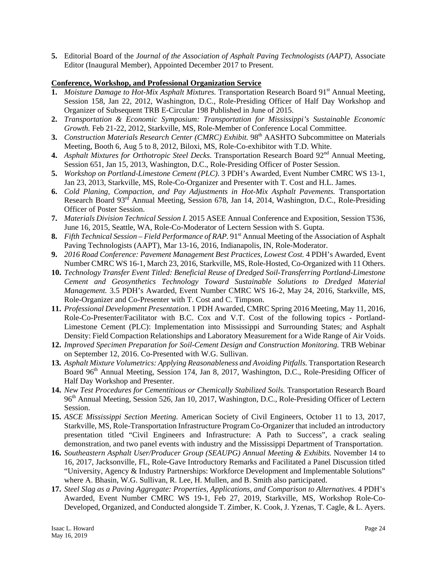**5.** Editorial Board of the *Journal of the Association of Asphalt Paving Technologists (AAPT)*, Associate Editor (Inaugural Member), Appointed December 2017 to Present.

### **Conference, Workshop, and Professional Organization Service**

- **1.** *Moisture Damage to Hot-Mix Asphalt Mixtures.* Transportation Research Board 91<sup>st</sup> Annual Meeting, Session 158, Jan 22, 2012, Washington, D.C., Role-Presiding Officer of Half Day Workshop and Organizer of Subsequent TRB E-Circular 198 Published in June of 2015.
- **2.** *Transportation & Economic Symposium: Transportation for Mississippi's Sustainable Economic Growth.* Feb 21-22, 2012, Starkville, MS, Role-Member of Conference Local Committee.
- **3.** *Construction Materials Research Center (CMRC) Exhibit.* 98th AASHTO Subcommittee on Materials Meeting, Booth 6, Aug 5 to 8, 2012, Biloxi, MS, Role-Co-exhibitor with T.D. White.
- 4. *Asphalt Mixtures for Orthotropic Steel Decks*. Transportation Research Board 92<sup>nd</sup> Annual Meeting, Session 651, Jan 15, 2013, Washington, D.C., Role-Presiding Officer of Poster Session.
- **5.** *Workshop on Portland-Limestone Cement (PLC)*. 3 PDH's Awarded, Event Number CMRC WS 13-1, Jan 23, 2013, Starkville, MS, Role-Co-Organizer and Presenter with T. Cost and H.L. James.
- **6.** *Cold Planing, Compaction, and Pay Adjustments in Hot-Mix Asphalt Pavements.* Transportation Research Board 93rd Annual Meeting, Session 678, Jan 14, 2014, Washington, D.C., Role-Presiding Officer of Poster Session.
- **7.** *Materials Division Technical Session I.* 2015 ASEE Annual Conference and Exposition, Session T536, June 16, 2015, Seattle, WA, Role-Co-Moderator of Lectern Session with S. Gupta.
- **8.** *Fifth Technical Session Field Performance of RAP.* 91<sup>st</sup> Annual Meeting of the Association of Asphalt Paving Technologists (AAPT), Mar 13-16, 2016, Indianapolis, IN, Role-Moderator.
- **9.** *2016 Road Conference: Pavement Management Best Practices, Lowest Cost.* 4 PDH's Awarded, Event Number CMRC WS 16-1, March 23, 2016, Starkville, MS, Role-Hosted, Co-Organized with 11 Others.
- **10.** *Technology Transfer Event Titled: Beneficial Reuse of Dredged Soil-Transferring Portland-Limestone Cement and Geosynthetics Technology Toward Sustainable Solutions to Dredged Material Management.* 3.5 PDH's Awarded, Event Number CMRC WS 16-2, May 24, 2016, Starkville, MS, Role-Organizer and Co-Presenter with T. Cost and C. Timpson.
- **11.** *Professional Development Presentation.* 1 PDH Awarded, CMRC Spring 2016 Meeting, May 11, 2016, Role-Co-Presenter/Facilitator with B.C. Cox and V.T. Cost of the following topics - Portland-Limestone Cement (PLC): Implementation into Mississippi and Surrounding States; and Asphalt Density: Field Compaction Relationships and Laboratory Measurement for a Wide Range of Air Voids.
- **12.** *Improved Specimen Preparation for Soil-Cement Design and Construction Monitoring.* TRB Webinar on September 12, 2016. Co-Presented with W.G. Sullivan.
- **13.** *Asphalt Mixture Volumetrics: Applying Reasonableness and Avoiding Pitfalls.* Transportation Research Board 96<sup>th</sup> Annual Meeting, Session 174, Jan 8, 2017, Washington, D.C., Role-Presiding Officer of Half Day Workshop and Presenter.
- **14.** *New Test Procedures for Cementitious or Chemically Stabilized Soils.* Transportation Research Board 96<sup>th</sup> Annual Meeting, Session 526, Jan 10, 2017, Washington, D.C., Role-Presiding Officer of Lectern Session.
- **15.** *ASCE Mississippi Section Meeting.* American Society of Civil Engineers, October 11 to 13, 2017, Starkville, MS, Role-Transportation Infrastructure Program Co-Organizer that included an introductory presentation titled "Civil Engineers and Infrastructure: A Path to Success", a crack sealing demonstration, and two panel events with industry and the Mississippi Department of Transportation.
- **16.** *Southeastern Asphalt User/Producer Group (SEAUPG) Annual Meeting & Exhibits.* November 14 to 16, 2017, Jacksonville, FL, Role-Gave Introductory Remarks and Facilitated a Panel Discussion titled "University, Agency & Industry Partnerships: Workforce Development and Implementable Solutions" where A. Bhasin, W.G. Sullivan, R. Lee, H. Mullen, and B. Smith also participated.
- **17.** *Steel Slag as a Paving Aggregate: Properties, Applications, and Comparison to Alternatives.* 4 PDH's Awarded, Event Number CMRC WS 19-1, Feb 27, 2019, Starkville, MS, Workshop Role-Co-Developed, Organized, and Conducted alongside T. Zimber, K. Cook, J. Yzenas, T. Cagle, & L. Ayers.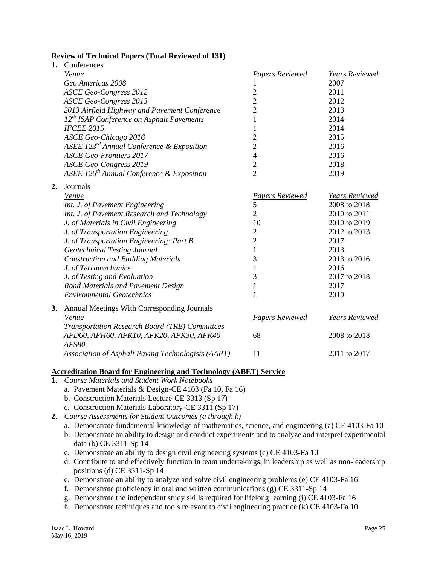### **Review of Technical Papers (Total Reviewed of 131)**

| 1. | Conferences                                           |                        |                       |
|----|-------------------------------------------------------|------------------------|-----------------------|
|    | Venue                                                 | <b>Papers Reviewed</b> | Years Reviewed        |
|    | Geo Americas 2008                                     |                        | 2007                  |
|    | <b>ASCE Geo-Congress 2012</b>                         | $\overline{2}$         | 2011                  |
|    | <b>ASCE Geo-Congress 2013</b>                         | $\overline{2}$         | 2012                  |
|    | 2013 Airfield Highway and Pavement Conference         | $\overline{2}$         | 2013                  |
|    | 12 <sup>th</sup> ISAP Conference on Asphalt Pavements | 1                      | 2014                  |
|    | <b>IFCEE 2015</b>                                     | 1                      | 2014                  |
|    | <b>ASCE Geo-Chicago 2016</b>                          | $\overline{c}$         | 2015                  |
|    | ASEE 123 <sup>rd</sup> Annual Conference & Exposition | $\overline{c}$         | 2016                  |
|    | <b>ASCE Geo-Frontiers 2017</b>                        | 4                      | 2016                  |
|    | <b>ASCE Geo-Congress 2019</b>                         | $\overline{c}$         | 2018                  |
|    | ASEE 126 <sup>th</sup> Annual Conference & Exposition | $\overline{2}$         | 2019                  |
| 2. | Journals                                              |                        |                       |
|    | Venue                                                 | <b>Papers Reviewed</b> | Years Reviewed        |
|    | Int. J. of Pavement Engineering                       | 5                      | 2008 to 2018          |
|    | Int. J. of Pavement Research and Technology           | $\overline{2}$         | 2010 to 2011          |
|    | J. of Materials in Civil Engineering                  | 10                     | 2010 to 2019          |
|    | J. of Transportation Engineering                      | $\overline{2}$         | 2012 to 2013          |
|    | J. of Transportation Engineering: Part B              | $\overline{2}$         | 2017                  |
|    | <b>Geotechnical Testing Journal</b>                   | $\mathbf{1}$           | 2013                  |
|    | <b>Construction and Building Materials</b>            | 3                      | 2013 to 2016          |
|    | J. of Terramechanics                                  | $\mathbf{1}$           | 2016                  |
|    | J. of Testing and Evaluation                          | 3                      | 2017 to 2018          |
|    | Road Materials and Pavement Design                    | $\mathbf{1}$           | 2017                  |
|    | <b>Environmental Geotechnics</b>                      | 1                      | 2019                  |
| 3. | Annual Meetings With Corresponding Journals           |                        |                       |
|    | Venue                                                 | <b>Papers Reviewed</b> | <b>Years Reviewed</b> |
|    | Transportation Research Board (TRB) Committees        |                        |                       |
|    | AFD60, AFH60, AFK10, AFK20, AFK30, AFK40<br>AFS80     | 68                     | 2008 to 2018          |
|    | Association of Asphalt Paving Technologists (AAPT)    | 11                     | 2011 to 2017          |

#### **Accreditation Board for Engineering and Technology (ABET) Service**

- **1.** *Course Materials and Student Work Notebooks*
	- a. Pavement Materials & Design-CE 4103 (Fa 10, Fa 16)
	- b. Construction Materials Lecture-CE 3313 (Sp 17)
	- c. Construction Materials Laboratory-CE 3311 (Sp 17)
- **2.** *Course Assessments for Student Outcomes (a through k)*
	- a. Demonstrate fundamental knowledge of mathematics, science, and engineering (a) CE 4103-Fa 10
	- b. Demonstrate an ability to design and conduct experiments and to analyze and interpret experimental data (b) CE 3311-Sp 14
	- c. Demonstrate an ability to design civil engineering systems (c) CE 4103-Fa 10
	- d. Contribute to and effectively function in team undertakings, in leadership as well as non-leadership positions (d) CE 3311-Sp 14
	- e. Demonstrate an ability to analyze and solve civil engineering problems (e) CE 4103-Fa 16
	- f. Demonstrate proficiency in oral and written communications (g) CE 3311-Sp 14
	- g. Demonstrate the independent study skills required for lifelong learning (i) CE 4103-Fa 16
	- h. Demonstrate techniques and tools relevant to civil engineering practice (k) CE 4103-Fa 10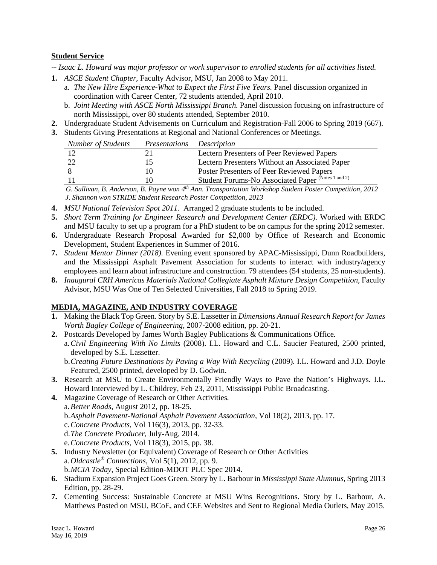### **Student Service**

- *-- Isaac L. Howard was major professor or work supervisor to enrolled students for all activities listed.*
- **1.** *ASCE Student Chapter,* Faculty Advisor, MSU, Jan 2008 to May 2011.
	- a. *The New Hire Experience-What to Expect the First Five Years.* Panel discussion organized in coordination with Career Center, 72 students attended, April 2010.
	- b. *Joint Meeting with ASCE North Mississippi Branch.* Panel discussion focusing on infrastructure of north Mississippi, over 80 students attended, September 2010.
- **2.** Undergraduate Student Advisements on Curriculum and Registration-Fall 2006 to Spring 2019 (667).
- **3.** Students Giving Presentations at Regional and National Conferences or Meetings.

| <b>Number of Students</b> | Presentations | Description                                        |
|---------------------------|---------------|----------------------------------------------------|
|                           | 21            | Lectern Presenters of Peer Reviewed Papers         |
|                           | 15            | Lectern Presenters Without an Associated Paper     |
|                           | ۱0            | Poster Presenters of Peer Reviewed Papers          |
|                           | Ω'            | Student Forums-No Associated Paper (Notes 1 and 2) |

 *G. Sullivan, B. Anderson, B. Payne won 4th Ann. Transportation Workshop Student Poster Competition, 2012 J. Shannon won STRIDE Student Research Poster Competition, 2013*

- **4.** *MSU National Television Spot 2011.* Arranged 2 graduate students to be included.
- **5.** *Short Term Training for Engineer Research and Development Center (ERDC).* Worked with ERDC and MSU faculty to set up a program for a PhD student to be on campus for the spring 2012 semester.
- **6.** Undergraduate Research Proposal Awarded for \$2,000 by Office of Research and Economic Development, Student Experiences in Summer of 2016.
- **7.** *Student Mentor Dinner (2018).* Evening event sponsored by APAC-Mississippi, Dunn Roadbuilders, and the Mississippi Asphalt Pavement Association for students to interact with industry/agency employees and learn about infrastructure and construction. 79 attendees (54 students, 25 non-students).
- **8.** *Inaugural CRH Americas Materials National Collegiate Asphalt Mixture Design Competition,* Faculty Advisor, MSU Was One of Ten Selected Universities, Fall 2018 to Spring 2019.

# **MEDIA, MAGAZINE, AND INDUSTRY COVERAGE**

- **1.** Making the Black Top Green*.* Story by S.E. Lassetter in *Dimensions Annual Research Report for James Worth Bagley College of Engineering*, 2007-2008 edition, pp. 20-21.
- **2.** Postcards Developed by James Worth Bagley Publications & Communications Office*.* a.*Civil Engineering With No Limits* (2008). I.L. Howard and C.L. Saucier Featured, 2500 printed,
	- developed by S.E. Lassetter. b.*Creating Future Destinations by Paving a Way With Recycling* (2009)*.* I.L. Howard and J.D. Doyle Featured, 2500 printed, developed by D. Godwin.
- **3.** Research at MSU to Create Environmentally Friendly Ways to Pave the Nation's Highways*.* I.L. Howard Interviewed by L. Childrey, Feb 23, 2011, Mississippi Public Broadcasting.
- **4.** Magazine Coverage of Research or Other Activities*.* a.*Better Roads*, August 2012, pp. 18-25. b.*Asphalt Pavement-National Asphalt Pavement Association*, Vol 18(2), 2013, pp. 17. c.*Concrete Products*, Vol 116(3), 2013, pp. 32-33. d.*The Concrete Producer,* July-Aug, 2014. e.*Concrete Products,* Vol 118(3), 2015, pp. 38.
- **5.** Industry Newsletter (or Equivalent) Coverage of Research or Other Activities a.*Oldcastle® Connections*, Vol 5(1), 2012, pp. 9. b.*MCIA Today*, Special Edition-MDOT PLC Spec 2014.
- **6.** Stadium Expansion Project Goes Green*.* Story by L. Barbour in *Mississippi State Alumnus*, Spring 2013 Edition, pp. 28-29.
- **7.** Cementing Success: Sustainable Concrete at MSU Wins Recognitions. Story by L. Barbour, A. Matthews Posted on MSU, BCoE, and CEE Websites and Sent to Regional Media Outlets, May 2015.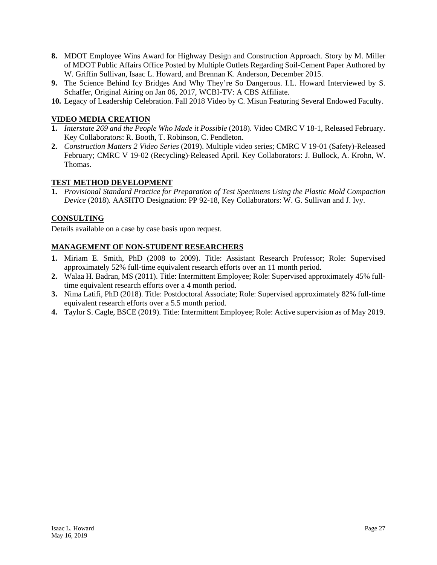- **8.** MDOT Employee Wins Award for Highway Design and Construction Approach. Story by M. Miller of MDOT Public Affairs Office Posted by Multiple Outlets Regarding Soil-Cement Paper Authored by W. Griffin Sullivan, Isaac L. Howard, and Brennan K. Anderson, December 2015.
- **9.** The Science Behind Icy Bridges And Why They're So Dangerous. I.L. Howard Interviewed by S. Schaffer, Original Airing on Jan 06, 2017, WCBI-TV: A CBS Affiliate.
- **10.** Legacy of Leadership Celebration. Fall 2018 Video by C. Misun Featuring Several Endowed Faculty.

# **VIDEO MEDIA CREATION**

- **1.** *Interstate 269 and the People Who Made it Possible* (2018). Video CMRC V 18-1, Released February. Key Collaborators: R. Booth, T. Robinson, C. Pendleton.
- **2.** *Construction Matters 2 Video Series* (2019). Multiple video series; CMRC V 19-01 (Safety)-Released February; CMRC V 19-02 (Recycling)-Released April. Key Collaborators: J. Bullock, A. Krohn, W. Thomas.

### **TEST METHOD DEVELOPMENT**

**1.** *Provisional Standard Practice for Preparation of Test Specimens Using the Plastic Mold Compaction Device* (2018)*.* AASHTO Designation: PP 92-18, Key Collaborators: W. G. Sullivan and J. Ivy.

### **CONSULTING**

Details available on a case by case basis upon request.

### **MANAGEMENT OF NON-STUDENT RESEARCHERS**

- **1.** Miriam E. Smith, PhD (2008 to 2009). Title: Assistant Research Professor; Role: Supervised approximately 52% full-time equivalent research efforts over an 11 month period.
- **2.** Walaa H. Badran, MS (2011). Title: Intermittent Employee; Role: Supervised approximately 45% fulltime equivalent research efforts over a 4 month period.
- **3.** Nima Latifi, PhD (2018). Title: Postdoctoral Associate; Role: Supervised approximately 82% full-time equivalent research efforts over a 5.5 month period.
- **4.** Taylor S. Cagle, BSCE (2019). Title: Intermittent Employee; Role: Active supervision as of May 2019.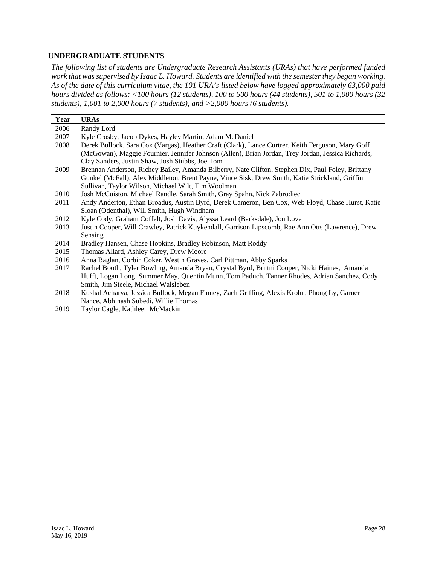# **UNDERGRADUATE STUDENTS**

*The following list of students are Undergraduate Research Assistants (URAs) that have performed funded work that was supervised by Isaac L. Howard. Students are identified with the semester they began working. As of the date of this curriculum vitae, the 101 URA's listed below have logged approximately 63,000 paid hours divided as follows: <100 hours (12 students), 100 to 500 hours (44 students), 501 to 1,000 hours (32 students), 1,001 to 2,000 hours (7 students), and >2,000 hours (6 students).* 

| Year | <b>URAs</b>                                                                                        |
|------|----------------------------------------------------------------------------------------------------|
| 2006 | Randy Lord                                                                                         |
| 2007 | Kyle Crosby, Jacob Dykes, Hayley Martin, Adam McDaniel                                             |
| 2008 | Derek Bullock, Sara Cox (Vargas), Heather Craft (Clark), Lance Curtrer, Keith Ferguson, Mary Goff  |
|      | (McGowan), Maggie Fournier, Jennifer Johnson (Allen), Brian Jordan, Trey Jordan, Jessica Richards, |
|      | Clay Sanders, Justin Shaw, Josh Stubbs, Joe Tom                                                    |
| 2009 | Brennan Anderson, Richey Bailey, Amanda Bilberry, Nate Clifton, Stephen Dix, Paul Foley, Brittany  |
|      | Gunkel (McFall), Alex Middleton, Brent Payne, Vince Sisk, Drew Smith, Katie Strickland, Griffin    |
|      | Sullivan, Taylor Wilson, Michael Wilt, Tim Woolman                                                 |
| 2010 | Josh McCuiston, Michael Randle, Sarah Smith, Gray Spahn, Nick Zabrodiec                            |
| 2011 | Andy Anderton, Ethan Broadus, Austin Byrd, Derek Cameron, Ben Cox, Web Floyd, Chase Hurst, Katie   |
|      | Sloan (Odenthal), Will Smith, Hugh Windham                                                         |
| 2012 | Kyle Cody, Graham Coffelt, Josh Davis, Alyssa Leard (Barksdale), Jon Love                          |
| 2013 | Justin Cooper, Will Crawley, Patrick Kuykendall, Garrison Lipscomb, Rae Ann Otts (Lawrence), Drew  |
|      | Sensing                                                                                            |
| 2014 | Bradley Hansen, Chase Hopkins, Bradley Robinson, Matt Roddy                                        |
| 2015 | Thomas Allard, Ashley Carey, Drew Moore                                                            |
| 2016 | Anna Baglan, Corbin Coker, Westin Graves, Carl Pittman, Abby Sparks                                |
| 2017 | Rachel Booth, Tyler Bowling, Amanda Bryan, Crystal Byrd, Brittni Cooper, Nicki Haines, Amanda      |
|      | Hufft, Logan Long, Summer May, Quentin Munn, Tom Paduch, Tanner Rhodes, Adrian Sanchez, Cody       |
|      | Smith, Jim Steele, Michael Walsleben                                                               |
| 2018 | Kushal Acharya, Jessica Bullock, Megan Finney, Zach Griffing, Alexis Krohn, Phong Ly, Garner       |
|      | Nance, Abhinash Subedi, Willie Thomas                                                              |
| 2019 | Taylor Cagle, Kathleen McMackin                                                                    |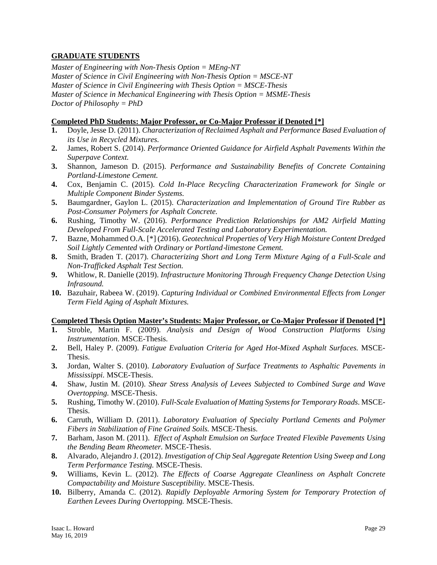## **GRADUATE STUDENTS**

*Master of Engineering with Non-Thesis Option = MEng-NT Master of Science in Civil Engineering with Non-Thesis Option = MSCE-NT Master of Science in Civil Engineering with Thesis Option = MSCE-Thesis Master of Science in Mechanical Engineering with Thesis Option = MSME-Thesis Doctor of Philosophy = PhD*

### **Completed PhD Students: Major Professor, or Co-Major Professor if Denoted [\*]**

- **1.** Doyle, Jesse D. (2011). *Characterization of Reclaimed Asphalt and Performance Based Evaluation of its Use in Recycled Mixtures.*
- **2.** James, Robert S. (2014). *Performance Oriented Guidance for Airfield Asphalt Pavements Within the Superpave Context.*
- **3.** Shannon, Jameson D. (2015). *Performance and Sustainability Benefits of Concrete Containing Portland-Limestone Cement.*
- **4.** Cox, Benjamin C. (2015). *Cold In-Place Recycling Characterization Framework for Single or Multiple Component Binder Systems.*
- **5.** Baumgardner, Gaylon L. (2015). *Characterization and Implementation of Ground Tire Rubber as Post-Consumer Polymers for Asphalt Concrete.*
- **6.** Rushing, Timothy W. (2016). *Performance Prediction Relationships for AM2 Airfield Matting Developed From Full-Scale Accelerated Testing and Laboratory Experimentation.*
- **7.** Bazne, Mohammed O.A. [\*] (2016). *Geotechnical Properties of Very High Moisture Content Dredged Soil Lightly Cemented with Ordinary or Portland*‐*limestone Cement.*
- **8.** Smith, Braden T. (2017). *Characterizing Short and Long Term Mixture Aging of a Full-Scale and Non-Trafficked Asphalt Test Section.*
- **9.** Whitlow, R. Danielle (2019). *Infrastructure Monitoring Through Frequency Change Detection Using Infrasound.*
- **10.** Bazuhair, Rabeea W. (2019). *Capturing Individual or Combined Environmental Effects from Longer Term Field Aging of Asphalt Mixtures.*

### **Completed Thesis Option Master's Students: Major Professor, or Co-Major Professor if Denoted [\*]**

- **1.** Stroble, Martin F. (2009). *Analysis and Design of Wood Construction Platforms Using Instrumentation*. MSCE-Thesis.
- **2.** Bell, Haley P. (2009). *Fatigue Evaluation Criteria for Aged Hot-Mixed Asphalt Surfaces.* MSCE-Thesis.
- **3.** Jordan, Walter S. (2010). *Laboratory Evaluation of Surface Treatments to Asphaltic Pavements in Mississippi.* MSCE-Thesis.
- **4.** Shaw, Justin M. (2010). *Shear Stress Analysis of Levees Subjected to Combined Surge and Wave Overtopping.* MSCE-Thesis.
- **5.** Rushing, Timothy W. (2010). *Full-Scale Evaluation of Matting Systems for Temporary Roads*. MSCE-Thesis.
- **6.** Carruth, William D. (2011). *Laboratory Evaluation of Specialty Portland Cements and Polymer Fibers in Stabilization of Fine Grained Soils.* MSCE-Thesis.
- **7.** Barham, Jason M. (2011). *Effect of Asphalt Emulsion on Surface Treated Flexible Pavements Using the Bending Beam Rheometer.* MSCE-Thesis.
- **8.** Alvarado, Alejandro J. (2012). *Investigation of Chip Seal Aggregate Retention Using Sweep and Long Term Performance Testing.* MSCE-Thesis.
- **9.** Williams, Kevin L. (2012). *The Effects of Coarse Aggregate Cleanliness on Asphalt Concrete Compactability and Moisture Susceptibility.* MSCE-Thesis.
- **10.** Bilberry, Amanda C. (2012). *Rapidly Deployable Armoring System for Temporary Protection of Earthen Levees During Overtopping.* MSCE-Thesis.